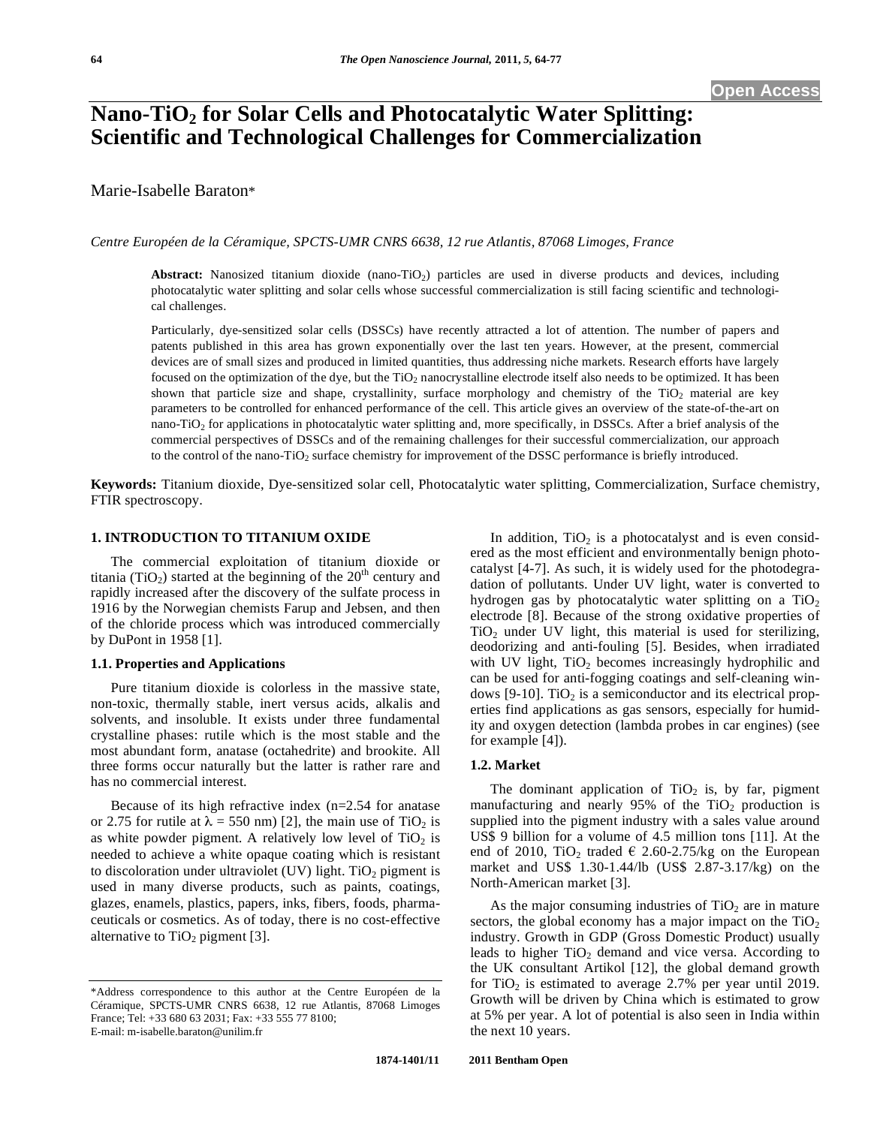# **Nano-TiO2 for Solar Cells and Photocatalytic Water Splitting: Scientific and Technological Challenges for Commercialization**

Marie-Isabelle Baraton\*

*Centre Européen de la Céramique, SPCTS-UMR CNRS 6638, 12 rue Atlantis, 87068 Limoges, France* 

Abstract: Nanosized titanium dioxide (nano-TiO<sub>2</sub>) particles are used in diverse products and devices, including photocatalytic water splitting and solar cells whose successful commercialization is still facing scientific and technological challenges.

Particularly, dye-sensitized solar cells (DSSCs) have recently attracted a lot of attention. The number of papers and patents published in this area has grown exponentially over the last ten years. However, at the present, commercial devices are of small sizes and produced in limited quantities, thus addressing niche markets. Research efforts have largely focused on the optimization of the dye, but the TiO<sub>2</sub> nanocrystalline electrode itself also needs to be optimized. It has been shown that particle size and shape, crystallinity, surface morphology and chemistry of the  $TiO<sub>2</sub>$  material are key parameters to be controlled for enhanced performance of the cell. This article gives an overview of the state-of-the-art on nano-TiO<sub>2</sub> for applications in photocatalytic water splitting and, more specifically, in DSSCs. After a brief analysis of the commercial perspectives of DSSCs and of the remaining challenges for their successful commercialization, our approach to the control of the nano-TiO<sub>2</sub> surface chemistry for improvement of the DSSC performance is briefly introduced.

**Keywords:** Titanium dioxide, Dye-sensitized solar cell, Photocatalytic water splitting, Commercialization, Surface chemistry, FTIR spectroscopy.

# **1. INTRODUCTION TO TITANIUM OXIDE**

The commercial exploitation of titanium dioxide or titania (TiO<sub>2</sub>) started at the beginning of the  $20<sup>th</sup>$  century and rapidly increased after the discovery of the sulfate process in 1916 by the Norwegian chemists Farup and Jebsen, and then of the chloride process which was introduced commercially by DuPont in 1958 [1].

# **1.1. Properties and Applications**

Pure titanium dioxide is colorless in the massive state, non-toxic, thermally stable, inert versus acids, alkalis and solvents, and insoluble. It exists under three fundamental crystalline phases: rutile which is the most stable and the most abundant form, anatase (octahedrite) and brookite. All three forms occur naturally but the latter is rather rare and has no commercial interest.

Because of its high refractive index  $(n=2.54$  for anatase or 2.75 for rutile at  $\lambda = 550$  nm) [2], the main use of TiO<sub>2</sub> is as white powder pigment. A relatively low level of  $TiO<sub>2</sub>$  is needed to achieve a white opaque coating which is resistant to discoloration under ultraviolet (UV) light. TiO<sub>2</sub> pigment is used in many diverse products, such as paints, coatings, glazes, enamels, plastics, papers, inks, fibers, foods, pharmaceuticals or cosmetics. As of today, there is no cost-effective alternative to  $TiO<sub>2</sub>$  pigment [3].

In addition,  $TiO<sub>2</sub>$  is a photocatalyst and is even considered as the most efficient and environmentally benign photocatalyst [4-7]. As such, it is widely used for the photodegradation of pollutants. Under UV light, water is converted to hydrogen gas by photocatalytic water splitting on a  $TiO<sub>2</sub>$ electrode [8]. Because of the strong oxidative properties of  $TiO<sub>2</sub>$  under UV light, this material is used for sterilizing, deodorizing and anti-fouling [5]. Besides, when irradiated with UV light,  $TiO<sub>2</sub>$  becomes increasingly hydrophilic and can be used for anti-fogging coatings and self-cleaning windows [9-10]. TiO<sub>2</sub> is a semiconductor and its electrical properties find applications as gas sensors, especially for humidity and oxygen detection (lambda probes in car engines) (see for example [4]).

#### **1.2. Market**

The dominant application of  $TiO<sub>2</sub>$  is, by far, pigment manufacturing and nearly 95% of the  $TiO<sub>2</sub>$  production is supplied into the pigment industry with a sales value around US\$ 9 billion for a volume of 4.5 million tons [11]. At the end of 2010, TiO<sub>2</sub> traded  $\epsilon$  2.60-2.75/kg on the European market and US\$ 1.30-1.44/lb (US\$ 2.87-3.17/kg) on the North-American market [3].

As the major consuming industries of  $TiO<sub>2</sub>$  are in mature sectors, the global economy has a major impact on the  $TiO<sub>2</sub>$ industry. Growth in GDP (Gross Domestic Product) usually leads to higher  $TiO<sub>2</sub>$  demand and vice versa. According to the UK consultant Artikol [12], the global demand growth for TiO<sub>2</sub> is estimated to average 2.7% per year until 2019. Growth will be driven by China which is estimated to grow at 5% per year. A lot of potential is also seen in India within the next 10 years.

<sup>\*</sup>Address correspondence to this author at the Centre Européen de la Céramique, SPCTS-UMR CNRS 6638, 12 rue Atlantis, 87068 Limoges France; Tel: +33 680 63 2031; Fax: +33 555 77 8100; E-mail: m-isabelle.baraton@unilim.fr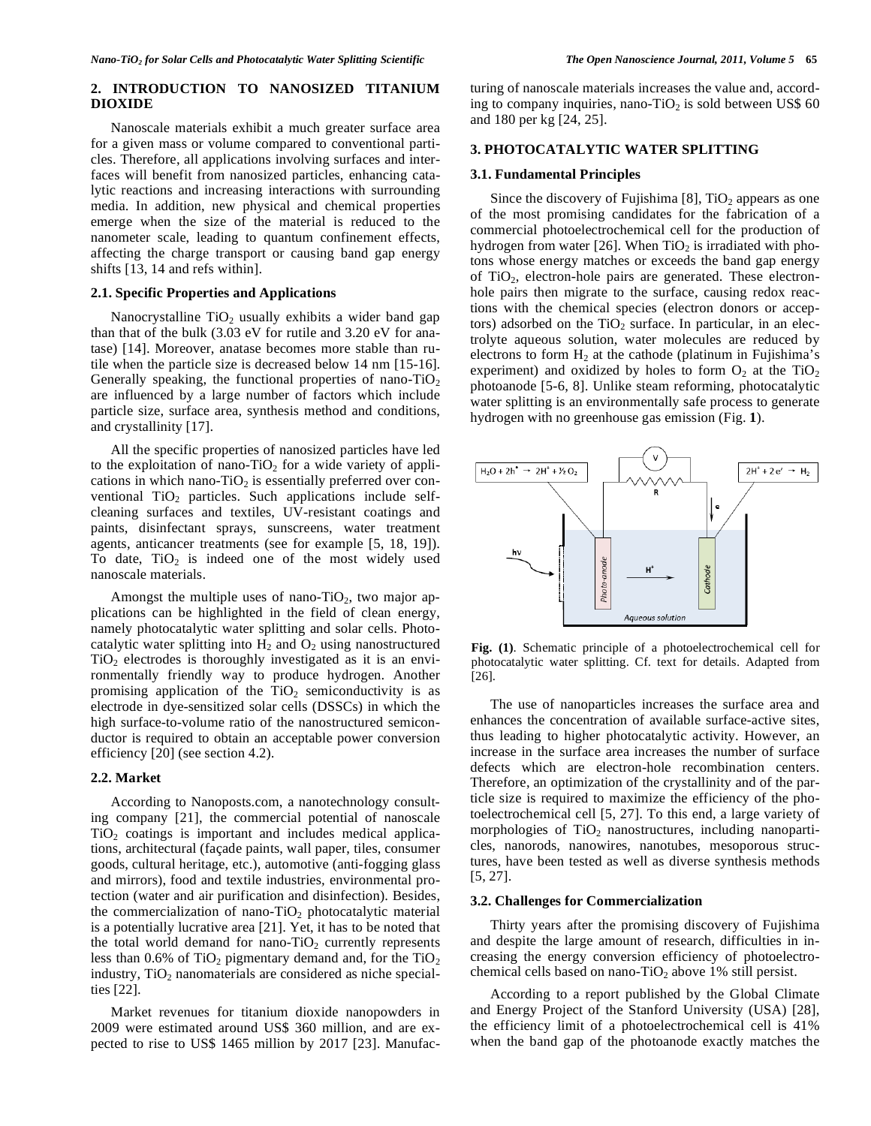# **2. INTRODUCTION TO NANOSIZED TITANIUM DIOXIDE**

Nanoscale materials exhibit a much greater surface area for a given mass or volume compared to conventional particles. Therefore, all applications involving surfaces and interfaces will benefit from nanosized particles, enhancing catalytic reactions and increasing interactions with surrounding media. In addition, new physical and chemical properties emerge when the size of the material is reduced to the nanometer scale, leading to quantum confinement effects, affecting the charge transport or causing band gap energy shifts [13, 14 and refs within].

# **2.1. Specific Properties and Applications**

Nanocrystalline  $TiO<sub>2</sub>$  usually exhibits a wider band gap than that of the bulk (3.03 eV for rutile and 3.20 eV for anatase) [14]. Moreover, anatase becomes more stable than rutile when the particle size is decreased below 14 nm [15-16]. Generally speaking, the functional properties of nano-TiO<sub>2</sub> are influenced by a large number of factors which include particle size, surface area, synthesis method and conditions, and crystallinity [17].

All the specific properties of nanosized particles have led to the exploitation of nano-TiO<sub>2</sub> for a wide variety of applications in which nano-TiO<sub>2</sub> is essentially preferred over conventional  $TiO<sub>2</sub>$  particles. Such applications include selfcleaning surfaces and textiles, UV-resistant coatings and paints, disinfectant sprays, sunscreens, water treatment agents, anticancer treatments (see for example [5, 18, 19]). To date,  $TiO<sub>2</sub>$  is indeed one of the most widely used nanoscale materials.

Amongst the multiple uses of nano-TiO<sub>2</sub>, two major applications can be highlighted in the field of clean energy, namely photocatalytic water splitting and solar cells. Photocatalytic water splitting into  $H_2$  and  $O_2$  using nanostructured  $TiO<sub>2</sub>$  electrodes is thoroughly investigated as it is an environmentally friendly way to produce hydrogen. Another promising application of the  $TiO<sub>2</sub>$  semiconductivity is as electrode in dye-sensitized solar cells (DSSCs) in which the high surface-to-volume ratio of the nanostructured semiconductor is required to obtain an acceptable power conversion efficiency [20] (see section 4.2).

#### **2.2. Market**

According to Nanoposts.com, a nanotechnology consulting company [21], the commercial potential of nanoscale  $TiO<sub>2</sub>$  coatings is important and includes medical applications, architectural (façade paints, wall paper, tiles, consumer goods, cultural heritage, etc.), automotive (anti-fogging glass and mirrors), food and textile industries*,* environmental protection (water and air purification and disinfection). Besides, the commercialization of nano-TiO<sub>2</sub> photocatalytic material is a potentially lucrative area [21]. Yet, it has to be noted that the total world demand for nano-TiO<sub>2</sub> currently represents less than  $0.6\%$  of TiO<sub>2</sub> pigmentary demand and, for the TiO<sub>2</sub> industry,  $TiO<sub>2</sub>$  nanomaterials are considered as niche specialties [22].

Market revenues for titanium dioxide nanopowders in 2009 were estimated around US\$ 360 million, and are expected to rise to US\$ 1465 million by 2017 [23]. Manufacturing of nanoscale materials increases the value and, according to company inquiries, nano-TiO<sub>2</sub> is sold between US\$ 60 and 180 per kg [24, 25].

### **3. PHOTOCATALYTIC WATER SPLITTING**

#### **3.1. Fundamental Principles**

Since the discovery of Fujishima [8],  $TiO<sub>2</sub>$  appears as one of the most promising candidates for the fabrication of a commercial photoelectrochemical cell for the production of hydrogen from water [26]. When  $TiO<sub>2</sub>$  is irradiated with photons whose energy matches or exceeds the band gap energy of  $TiO<sub>2</sub>$ , electron-hole pairs are generated. These electronhole pairs then migrate to the surface, causing redox reactions with the chemical species (electron donors or acceptors) adsorbed on the  $TiO<sub>2</sub>$  surface. In particular, in an electrolyte aqueous solution, water molecules are reduced by electrons to form  $H_2$  at the cathode (platinum in Fujishima's experiment) and oxidized by holes to form  $O_2$  at the TiO<sub>2</sub> photoanode [5-6, 8]. Unlike steam reforming, photocatalytic water splitting is an environmentally safe process to generate hydrogen with no greenhouse gas emission (Fig. **1**).



**Fig. (1)**. Schematic principle of a photoelectrochemical cell for photocatalytic water splitting. Cf. text for details. Adapted from [26].

The use of nanoparticles increases the surface area and enhances the concentration of available surface-active sites, thus leading to higher photocatalytic activity. However, an increase in the surface area increases the number of surface defects which are electron-hole recombination centers. Therefore, an optimization of the crystallinity and of the particle size is required to maximize the efficiency of the photoelectrochemical cell [5, 27]. To this end, a large variety of morphologies of  $TiO<sub>2</sub>$  nanostructures, including nanoparticles, nanorods, nanowires, nanotubes, mesoporous structures, have been tested as well as diverse synthesis methods [5, 27].

#### **3.2. Challenges for Commercialization**

Thirty years after the promising discovery of Fujishima and despite the large amount of research, difficulties in increasing the energy conversion efficiency of photoelectrochemical cells based on nano-TiO<sub>2</sub> above 1% still persist.

According to a report published by the Global Climate and Energy Project of the Stanford University (USA) [28], the efficiency limit of a photoelectrochemical cell is 41% when the band gap of the photoanode exactly matches the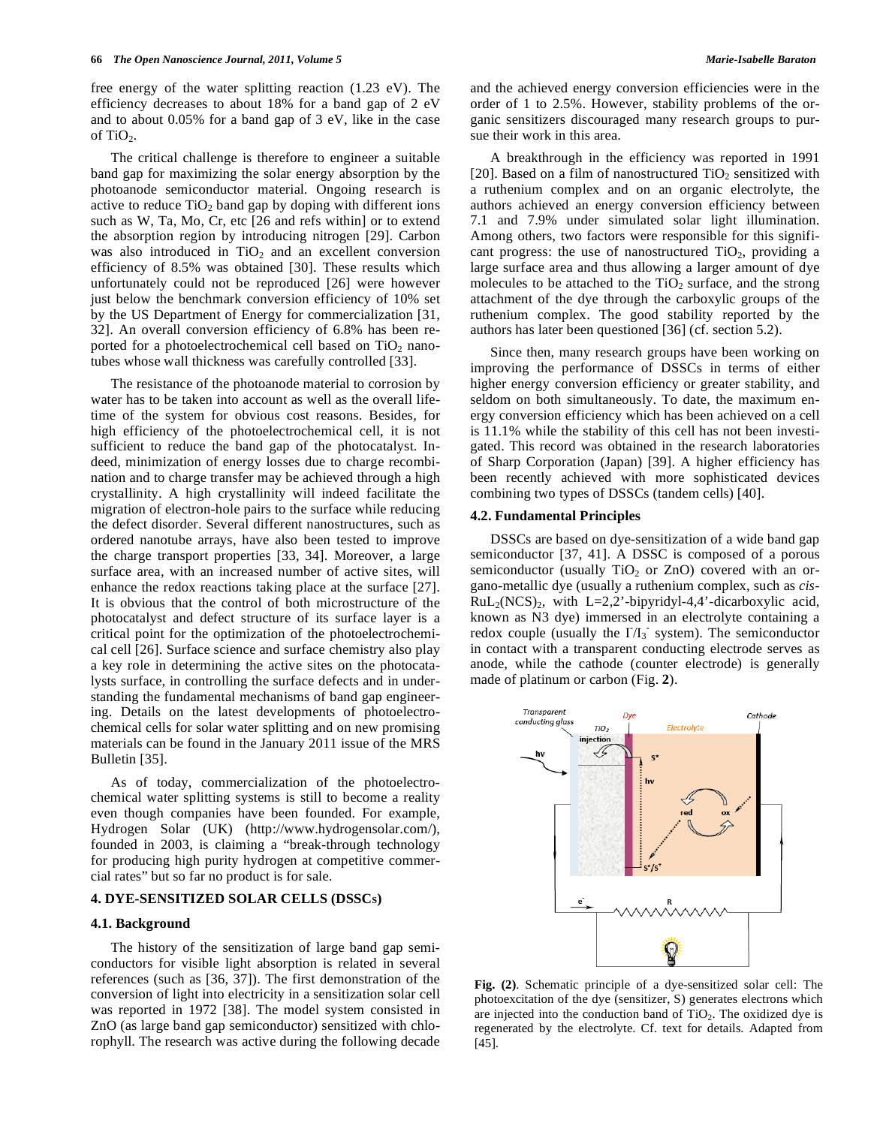free energy of the water splitting reaction (1.23 eV). The efficiency decreases to about 18% for a band gap of 2 eV and to about 0.05% for a band gap of 3 eV, like in the case of  $TiO<sub>2</sub>$ .

The critical challenge is therefore to engineer a suitable band gap for maximizing the solar energy absorption by the photoanode semiconductor material. Ongoing research is active to reduce  $TiO<sub>2</sub>$  band gap by doping with different ions such as W, Ta, Mo, Cr, etc [26 and refs within] or to extend the absorption region by introducing nitrogen [29]. Carbon was also introduced in  $TiO<sub>2</sub>$  and an excellent conversion efficiency of 8.5% was obtained [30]. These results which unfortunately could not be reproduced [26] were however just below the benchmark conversion efficiency of 10% set by the US Department of Energy for commercialization [31, 32]. An overall conversion efficiency of 6.8% has been reported for a photoelectrochemical cell based on  $TiO<sub>2</sub>$  nanotubes whose wall thickness was carefully controlled [33].

The resistance of the photoanode material to corrosion by water has to be taken into account as well as the overall lifetime of the system for obvious cost reasons. Besides, for high efficiency of the photoelectrochemical cell, it is not sufficient to reduce the band gap of the photocatalyst. Indeed, minimization of energy losses due to charge recombination and to charge transfer may be achieved through a high crystallinity. A high crystallinity will indeed facilitate the migration of electron-hole pairs to the surface while reducing the defect disorder. Several different nanostructures, such as ordered nanotube arrays, have also been tested to improve the charge transport properties [33, 34]. Moreover, a large surface area, with an increased number of active sites, will enhance the redox reactions taking place at the surface [27]. It is obvious that the control of both microstructure of the photocatalyst and defect structure of its surface layer is a critical point for the optimization of the photoelectrochemical cell [26]. Surface science and surface chemistry also play a key role in determining the active sites on the photocatalysts surface, in controlling the surface defects and in understanding the fundamental mechanisms of band gap engineering. Details on the latest developments of photoelectrochemical cells for solar water splitting and on new promising materials can be found in the January 2011 issue of the MRS Bulletin [35].

As of today, commercialization of the photoelectrochemical water splitting systems is still to become a reality even though companies have been founded. For example, Hydrogen Solar (UK) (http://www.hydrogensolar.com/), founded in 2003, is claiming a "break-through technology for producing high purity hydrogen at competitive commercial rates" but so far no product is for sale.

# **4. DYE-SENSITIZED SOLAR CELLS (DSSCS)**

# **4.1. Background**

The history of the sensitization of large band gap semiconductors for visible light absorption is related in several references (such as [36, 37]). The first demonstration of the conversion of light into electricity in a sensitization solar cell was reported in 1972 [38]. The model system consisted in ZnO (as large band gap semiconductor) sensitized with chlorophyll. The research was active during the following decade and the achieved energy conversion efficiencies were in the order of 1 to 2.5%. However, stability problems of the organic sensitizers discouraged many research groups to pursue their work in this area.

A breakthrough in the efficiency was reported in 1991 [20]. Based on a film of nanostructured  $TiO<sub>2</sub>$  sensitized with a ruthenium complex and on an organic electrolyte, the authors achieved an energy conversion efficiency between 7.1 and 7.9% under simulated solar light illumination. Among others, two factors were responsible for this significant progress: the use of nanostructured  $TiO<sub>2</sub>$ , providing a large surface area and thus allowing a larger amount of dye molecules to be attached to the  $TiO<sub>2</sub>$  surface, and the strong attachment of the dye through the carboxylic groups of the ruthenium complex. The good stability reported by the authors has later been questioned [36] (cf. section 5.2).

Since then, many research groups have been working on improving the performance of DSSCs in terms of either higher energy conversion efficiency or greater stability, and seldom on both simultaneously. To date, the maximum energy conversion efficiency which has been achieved on a cell is 11.1% while the stability of this cell has not been investigated. This record was obtained in the research laboratories of Sharp Corporation (Japan) [39]. A higher efficiency has been recently achieved with more sophisticated devices combining two types of DSSCs (tandem cells) [40].

# **4.2. Fundamental Principles**

DSSCs are based on dye-sensitization of a wide band gap semiconductor [37, 41]. A DSSC is composed of a porous semiconductor (usually  $TiO<sub>2</sub>$  or ZnO) covered with an organo-metallic dye (usually a ruthenium complex, such as *cis*- $RuL<sub>2</sub>(NCS)<sub>2</sub>$ , with  $L=2,2$ '-bipyridyl-4,4'-dicarboxylic acid, known as N3 dye) immersed in an electrolyte containing a redox couple (usually the  $I/I_3$  system). The semiconductor in contact with a transparent conducting electrode serves as anode, while the cathode (counter electrode) is generally made of platinum or carbon (Fig. **2**).



**Fig. (2)**. Schematic principle of a dye-sensitized solar cell: The photoexcitation of the dye (sensitizer, S) generates electrons which are injected into the conduction band of  $TiO<sub>2</sub>$ . The oxidized dye is regenerated by the electrolyte. Cf. text for details. Adapted from [45].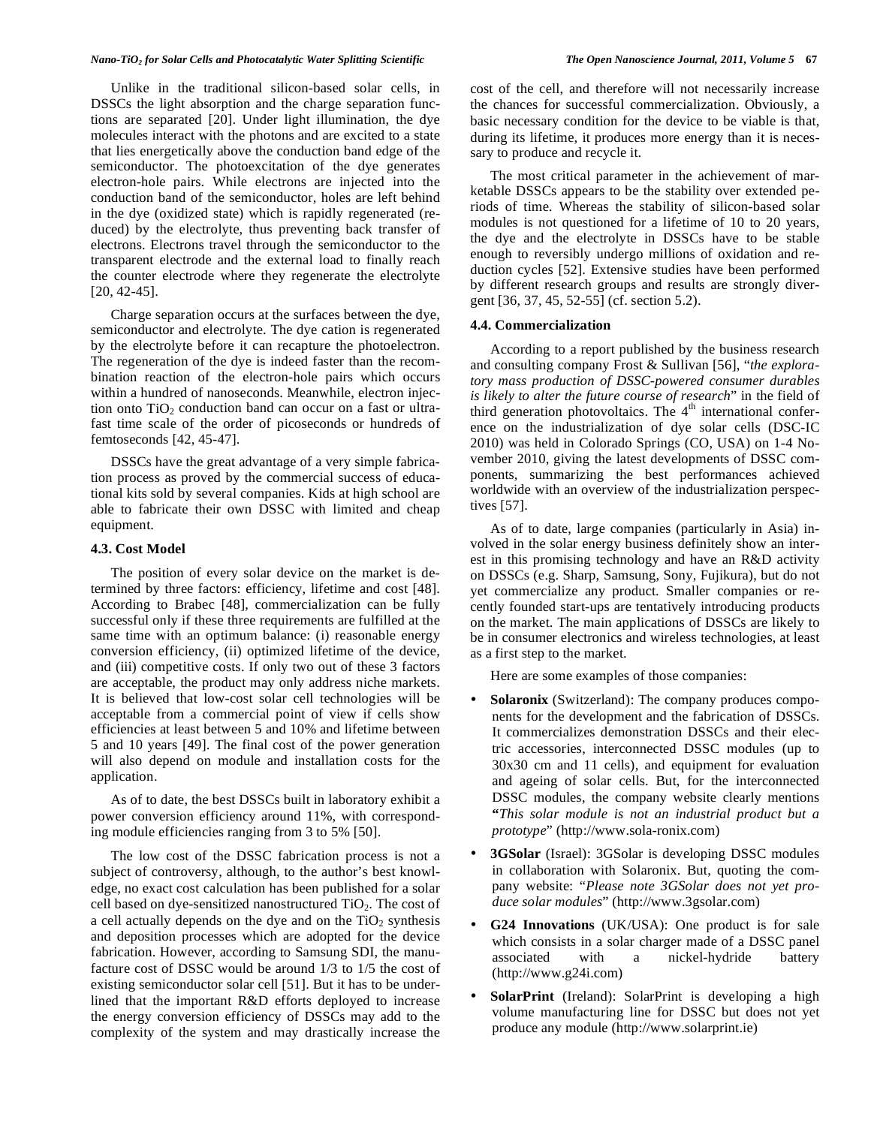Unlike in the traditional silicon-based solar cells, in DSSCs the light absorption and the charge separation functions are separated [20]. Under light illumination, the dye molecules interact with the photons and are excited to a state that lies energetically above the conduction band edge of the semiconductor. The photoexcitation of the dye generates electron-hole pairs. While electrons are injected into the conduction band of the semiconductor, holes are left behind in the dye (oxidized state) which is rapidly regenerated (reduced) by the electrolyte, thus preventing back transfer of electrons. Electrons travel through the semiconductor to the transparent electrode and the external load to finally reach the counter electrode where they regenerate the electrolyte [20, 42-45].

Charge separation occurs at the surfaces between the dye, semiconductor and electrolyte. The dye cation is regenerated by the electrolyte before it can recapture the photoelectron. The regeneration of the dye is indeed faster than the recombination reaction of the electron-hole pairs which occurs within a hundred of nanoseconds. Meanwhile, electron injection onto  $TiO<sub>2</sub>$  conduction band can occur on a fast or ultrafast time scale of the order of picoseconds or hundreds of femtoseconds [42, 45-47].

DSSCs have the great advantage of a very simple fabrication process as proved by the commercial success of educational kits sold by several companies. Kids at high school are able to fabricate their own DSSC with limited and cheap equipment.

# **4.3. Cost Model**

The position of every solar device on the market is determined by three factors: efficiency, lifetime and cost [48]. According to Brabec [48], commercialization can be fully successful only if these three requirements are fulfilled at the same time with an optimum balance: (i) reasonable energy conversion efficiency, (ii) optimized lifetime of the device, and (iii) competitive costs. If only two out of these 3 factors are acceptable, the product may only address niche markets. It is believed that low-cost solar cell technologies will be acceptable from a commercial point of view if cells show efficiencies at least between 5 and 10% and lifetime between 5 and 10 years [49]. The final cost of the power generation will also depend on module and installation costs for the application.

As of to date, the best DSSCs built in laboratory exhibit a power conversion efficiency around 11%, with corresponding module efficiencies ranging from 3 to 5% [50].

The low cost of the DSSC fabrication process is not a subject of controversy, although, to the author's best knowledge, no exact cost calculation has been published for a solar cell based on dye-sensitized nanostructured  $TiO<sub>2</sub>$ . The cost of a cell actually depends on the dye and on the  $TiO<sub>2</sub>$  synthesis and deposition processes which are adopted for the device fabrication. However, according to Samsung SDI, the manufacture cost of DSSC would be around 1/3 to 1/5 the cost of existing semiconductor solar cell [51]. But it has to be underlined that the important R&D efforts deployed to increase the energy conversion efficiency of DSSCs may add to the complexity of the system and may drastically increase the

cost of the cell, and therefore will not necessarily increase the chances for successful commercialization. Obviously, a basic necessary condition for the device to be viable is that, during its lifetime, it produces more energy than it is necessary to produce and recycle it.

The most critical parameter in the achievement of marketable DSSCs appears to be the stability over extended periods of time. Whereas the stability of silicon-based solar modules is not questioned for a lifetime of 10 to 20 years, the dye and the electrolyte in DSSCs have to be stable enough to reversibly undergo millions of oxidation and reduction cycles [52]. Extensive studies have been performed by different research groups and results are strongly divergent [36, 37, 45, 52-55] (cf. section 5.2).

# **4.4. Commercialization**

According to a report published by the business research and consulting company Frost & Sullivan [56], "*the exploratory mass production of DSSC-powered consumer durables is likely to alter the future course of research*" in the field of third generation photovoltaics. The  $4<sup>th</sup>$  international conference on the industrialization of dye solar cells (DSC-IC 2010) was held in Colorado Springs (CO, USA) on 1-4 November 2010, giving the latest developments of DSSC components, summarizing the best performances achieved worldwide with an overview of the industrialization perspectives [57].

As of to date, large companies (particularly in Asia) involved in the solar energy business definitely show an interest in this promising technology and have an R&D activity on DSSCs (e.g. Sharp, Samsung, Sony, Fujikura), but do not yet commercialize any product. Smaller companies or recently founded start-ups are tentatively introducing products on the market. The main applications of DSSCs are likely to be in consumer electronics and wireless technologies, at least as a first step to the market.

Here are some examples of those companies:

- **Solaronix** (Switzerland): The company produces components for the development and the fabrication of DSSCs. It commercializes demonstration DSSCs and their electric accessories, interconnected DSSC modules (up to 30x30 cm and 11 cells), and equipment for evaluation and ageing of solar cells. But, for the interconnected DSSC modules, the company website clearly mentions **"***This solar module is not an industrial product but a prototype*" (http://www.sola-ronix.com)
- **3GSolar** (Israel): 3GSolar is developing DSSC modules in collaboration with Solaronix. But, quoting the company website: "*Please note 3GSolar does not yet produce solar modules*" (http://www.3gsolar.com)
- **G24 Innovations** (UK/USA): One product is for sale which consists in a solar charger made of a DSSC panel associated with a nickel-hydride battery (http://www.g24i.com)
- **SolarPrint** (Ireland): SolarPrint is developing a high volume manufacturing line for DSSC but does not yet produce any module (http://www.solarprint.ie)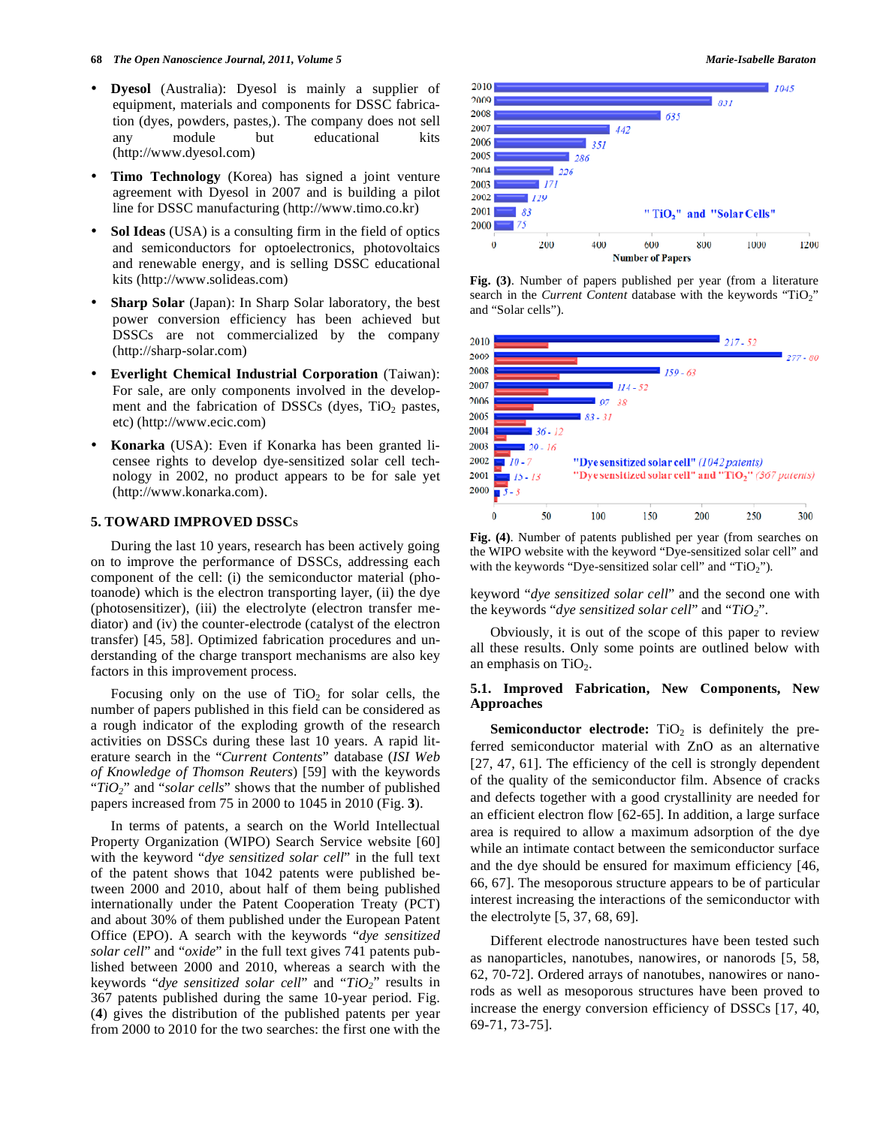- **Dyesol** (Australia): Dyesol is mainly a supplier of equipment, materials and components for DSSC fabrication (dyes, powders, pastes,). The company does not sell any module but educational kits (http://www.dyesol.com)
- **Timo Technology** (Korea) has signed a joint venture agreement with Dyesol in 2007 and is building a pilot line for DSSC manufacturing (http://www.timo.co.kr)
- **Sol Ideas** (USA) is a consulting firm in the field of optics and semiconductors for optoelectronics, photovoltaics and renewable energy, and is selling DSSC educational kits (http://www.solideas.com)
- **Sharp Solar** (Japan): In Sharp Solar laboratory, the best power conversion efficiency has been achieved but DSSCs are not commercialized by the company (http://sharp-solar.com)
- **Everlight Chemical Industrial Corporation** (Taiwan): For sale, are only components involved in the development and the fabrication of DSSCs (dyes,  $TiO<sub>2</sub>$  pastes, etc) (http://www.ecic.com)
- **Konarka** (USA): Even if Konarka has been granted licensee rights to develop dye-sensitized solar cell technology in 2002, no product appears to be for sale yet (http://www.konarka.com).

# **5. TOWARD IMPROVED DSSCS**

During the last 10 years, research has been actively going on to improve the performance of DSSCs, addressing each component of the cell: (i) the semiconductor material (photoanode) which is the electron transporting layer, (ii) the dye (photosensitizer), (iii) the electrolyte (electron transfer mediator) and (iv) the counter-electrode (catalyst of the electron transfer) [45, 58]. Optimized fabrication procedures and understanding of the charge transport mechanisms are also key factors in this improvement process.

Focusing only on the use of  $TiO<sub>2</sub>$  for solar cells, the number of papers published in this field can be considered as a rough indicator of the exploding growth of the research activities on DSSCs during these last 10 years. A rapid literature search in the "*Current Contents*" database (*ISI Web of Knowledge of Thomson Reuters*) [59] with the keywords "*TiO2*" and "*solar cells*" shows that the number of published papers increased from 75 in 2000 to 1045 in 2010 (Fig. **3**).

In terms of patents, a search on the World Intellectual Property Organization (WIPO) Search Service website [60] with the keyword "*dye sensitized solar cell*" in the full text of the patent shows that 1042 patents were published between 2000 and 2010, about half of them being published internationally under the Patent Cooperation Treaty (PCT) and about 30% of them published under the European Patent Office (EPO). A search with the keywords "*dye sensitized solar cell*" and "*oxide*" in the full text gives 741 patents published between 2000 and 2010, whereas a search with the keywords "*dye sensitized solar cell*" and "*TiO2*" results in 367 patents published during the same 10-year period. Fig. (**4**) gives the distribution of the published patents per year from 2000 to 2010 for the two searches: the first one with the



**Fig. (3)**. Number of papers published per year (from a literature search in the *Current Content* database with the keywords "TiO<sub>2</sub>" and "Solar cells").



**Fig. (4)**. Number of patents published per year (from searches on the WIPO website with the keyword "Dye-sensitized solar cell" and with the keywords "Dye-sensitized solar cell" and "TiO<sub>2</sub>").

keyword "*dye sensitized solar cell*" and the second one with the keywords "*dye sensitized solar cell*" and "*TiO2*".

Obviously, it is out of the scope of this paper to review all these results. Only some points are outlined below with an emphasis on  $TiO<sub>2</sub>$ .

# **5.1. Improved Fabrication, New Components, New Approaches**

**Semiconductor electrode:**  $TiO<sub>2</sub>$  is definitely the preferred semiconductor material with ZnO as an alternative [27, 47, 61]. The efficiency of the cell is strongly dependent of the quality of the semiconductor film. Absence of cracks and defects together with a good crystallinity are needed for an efficient electron flow [62-65]. In addition, a large surface area is required to allow a maximum adsorption of the dye while an intimate contact between the semiconductor surface and the dye should be ensured for maximum efficiency [46, 66, 67]. The mesoporous structure appears to be of particular interest increasing the interactions of the semiconductor with the electrolyte [5, 37, 68, 69].

Different electrode nanostructures have been tested such as nanoparticles, nanotubes, nanowires, or nanorods [5, 58, 62, 70-72]. Ordered arrays of nanotubes, nanowires or nanorods as well as mesoporous structures have been proved to increase the energy conversion efficiency of DSSCs [17, 40, 69-71, 73-75].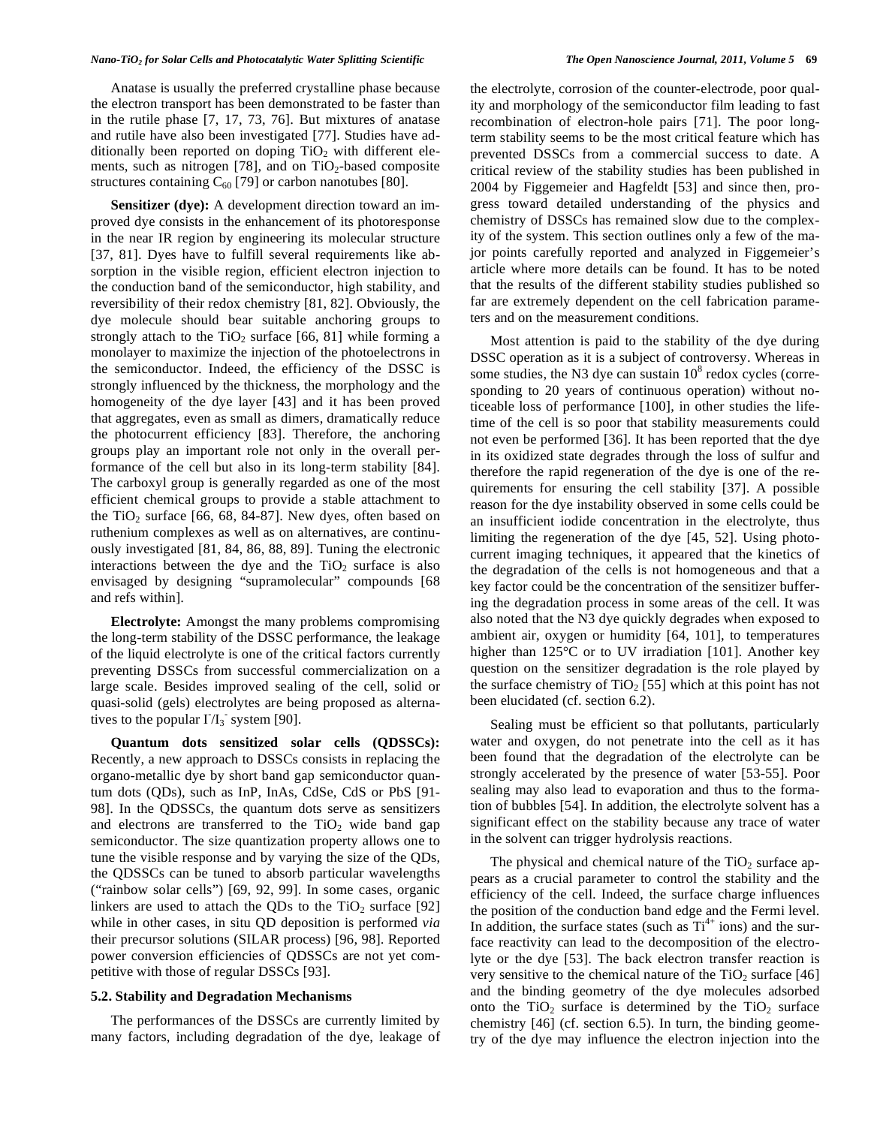Anatase is usually the preferred crystalline phase because the electron transport has been demonstrated to be faster than in the rutile phase [7, 17, 73, 76]. But mixtures of anatase and rutile have also been investigated [77]. Studies have additionally been reported on doping  $TiO<sub>2</sub>$  with different elements, such as nitrogen [78], and on  $TiO<sub>2</sub>$ -based composite structures containing  $C_{60}$  [79] or carbon nanotubes [80].

**Sensitizer (dye):** A development direction toward an improved dye consists in the enhancement of its photoresponse in the near IR region by engineering its molecular structure [37, 81]. Dyes have to fulfill several requirements like absorption in the visible region, efficient electron injection to the conduction band of the semiconductor, high stability, and reversibility of their redox chemistry [81, 82]. Obviously, the dye molecule should bear suitable anchoring groups to strongly attach to the  $TiO<sub>2</sub>$  surface [66, 81] while forming a monolayer to maximize the injection of the photoelectrons in the semiconductor. Indeed, the efficiency of the DSSC is strongly influenced by the thickness, the morphology and the homogeneity of the dye layer [43] and it has been proved that aggregates, even as small as dimers, dramatically reduce the photocurrent efficiency [83]. Therefore, the anchoring groups play an important role not only in the overall performance of the cell but also in its long-term stability [84]. The carboxyl group is generally regarded as one of the most efficient chemical groups to provide a stable attachment to the TiO<sub>2</sub> surface [66, 68, 84-87]. New dyes, often based on ruthenium complexes as well as on alternatives, are continuously investigated [81, 84, 86, 88, 89]. Tuning the electronic interactions between the dye and the  $TiO<sub>2</sub>$  surface is also envisaged by designing "supramolecular" compounds [68 and refs within].

**Electrolyte:** Amongst the many problems compromising the long-term stability of the DSSC performance, the leakage of the liquid electrolyte is one of the critical factors currently preventing DSSCs from successful commercialization on a large scale. Besides improved sealing of the cell, solid or quasi-solid (gels) electrolytes are being proposed as alternatives to the popular  $\Gamma/I_3$  system [90].

**Quantum dots sensitized solar cells (QDSSCs):**  Recently, a new approach to DSSCs consists in replacing the organo-metallic dye by short band gap semiconductor quantum dots (QDs), such as InP, InAs, CdSe, CdS or PbS [91- 98]. In the QDSSCs, the quantum dots serve as sensitizers and electrons are transferred to the  $TiO<sub>2</sub>$  wide band gap semiconductor. The size quantization property allows one to tune the visible response and by varying the size of the QDs, the QDSSCs can be tuned to absorb particular wavelengths ("rainbow solar cells") [69, 92, 99]. In some cases, organic linkers are used to attach the QDs to the  $TiO<sub>2</sub>$  surface [92] while in other cases, in situ QD deposition is performed *via* their precursor solutions (SILAR process) [96, 98]. Reported power conversion efficiencies of QDSSCs are not yet competitive with those of regular DSSCs [93].

#### **5.2. Stability and Degradation Mechanisms**

The performances of the DSSCs are currently limited by many factors, including degradation of the dye, leakage of the electrolyte, corrosion of the counter-electrode, poor quality and morphology of the semiconductor film leading to fast recombination of electron-hole pairs [71]. The poor longterm stability seems to be the most critical feature which has prevented DSSCs from a commercial success to date. A critical review of the stability studies has been published in 2004 by Figgemeier and Hagfeldt [53] and since then, progress toward detailed understanding of the physics and chemistry of DSSCs has remained slow due to the complexity of the system. This section outlines only a few of the major points carefully reported and analyzed in Figgemeier's article where more details can be found. It has to be noted that the results of the different stability studies published so far are extremely dependent on the cell fabrication parameters and on the measurement conditions.

Most attention is paid to the stability of the dye during DSSC operation as it is a subject of controversy. Whereas in some studies, the N3 dye can sustain  $10^8$  redox cycles (corresponding to 20 years of continuous operation) without noticeable loss of performance [100], in other studies the lifetime of the cell is so poor that stability measurements could not even be performed [36]. It has been reported that the dye in its oxidized state degrades through the loss of sulfur and therefore the rapid regeneration of the dye is one of the requirements for ensuring the cell stability [37]. A possible reason for the dye instability observed in some cells could be an insufficient iodide concentration in the electrolyte, thus limiting the regeneration of the dye [45, 52]. Using photocurrent imaging techniques, it appeared that the kinetics of the degradation of the cells is not homogeneous and that a key factor could be the concentration of the sensitizer buffering the degradation process in some areas of the cell. It was also noted that the N3 dye quickly degrades when exposed to ambient air, oxygen or humidity [64, 101], to temperatures higher than 125<sup>°</sup>C or to UV irradiation [101]. Another key question on the sensitizer degradation is the role played by the surface chemistry of  $TiO<sub>2</sub>$  [55] which at this point has not been elucidated (cf. section 6.2).

Sealing must be efficient so that pollutants, particularly water and oxygen, do not penetrate into the cell as it has been found that the degradation of the electrolyte can be strongly accelerated by the presence of water [53-55]. Poor sealing may also lead to evaporation and thus to the formation of bubbles [54]. In addition, the electrolyte solvent has a significant effect on the stability because any trace of water in the solvent can trigger hydrolysis reactions.

The physical and chemical nature of the  $TiO<sub>2</sub>$  surface appears as a crucial parameter to control the stability and the efficiency of the cell. Indeed, the surface charge influences the position of the conduction band edge and the Fermi level. In addition, the surface states (such as  $Ti^{4+}$  ions) and the surface reactivity can lead to the decomposition of the electrolyte or the dye [53]. The back electron transfer reaction is very sensitive to the chemical nature of the  $TiO<sub>2</sub>$  surface [46] and the binding geometry of the dye molecules adsorbed onto the  $TiO<sub>2</sub>$  surface is determined by the  $TiO<sub>2</sub>$  surface chemistry [46] (cf. section 6.5). In turn, the binding geometry of the dye may influence the electron injection into the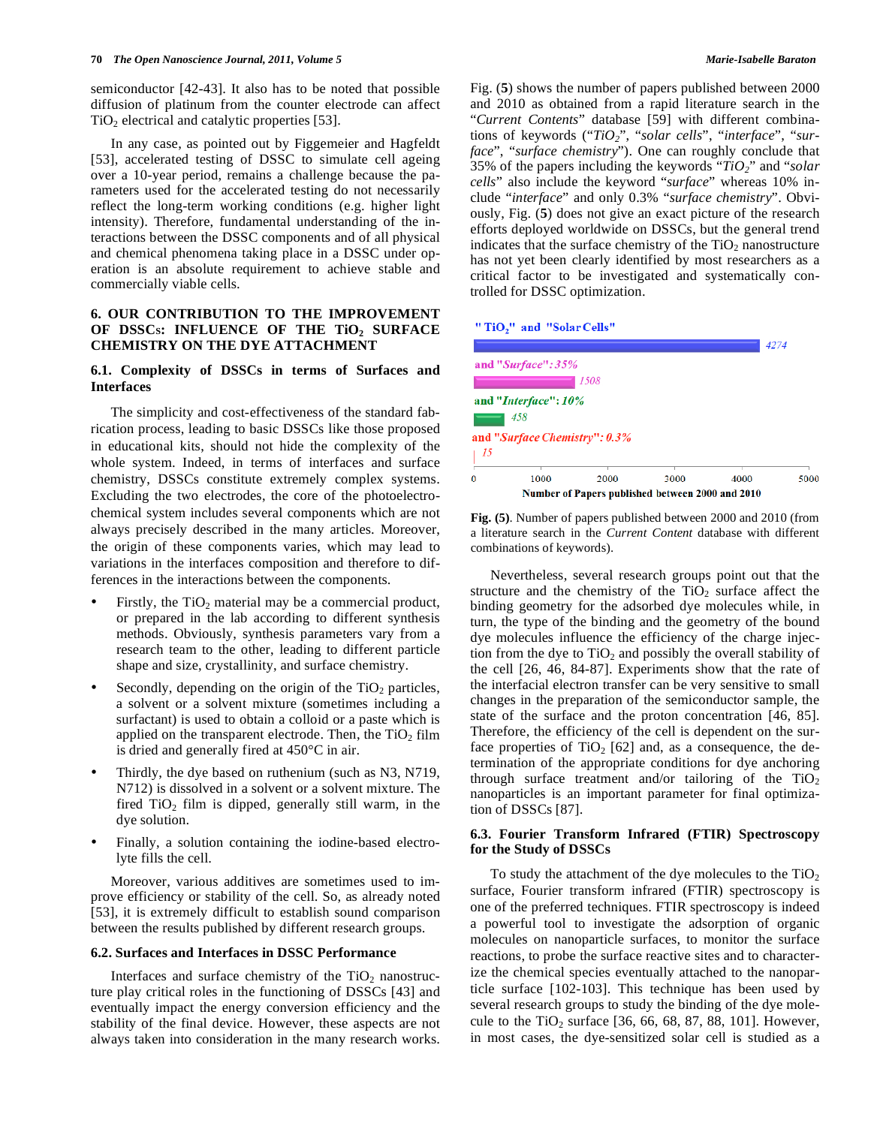semiconductor [42-43]. It also has to be noted that possible diffusion of platinum from the counter electrode can affect  $TiO<sub>2</sub>$  electrical and catalytic properties [53].

In any case, as pointed out by Figgemeier and Hagfeldt [53], accelerated testing of DSSC to simulate cell ageing over a 10-year period, remains a challenge because the parameters used for the accelerated testing do not necessarily reflect the long-term working conditions (e.g. higher light intensity). Therefore, fundamental understanding of the interactions between the DSSC components and of all physical and chemical phenomena taking place in a DSSC under operation is an absolute requirement to achieve stable and commercially viable cells.

# **6. OUR CONTRIBUTION TO THE IMPROVEMENT**  OF DSSCs: INFLUENCE OF THE TiO<sub>2</sub> SURFACE **CHEMISTRY ON THE DYE ATTACHMENT**

# **6.1. Complexity of DSSCs in terms of Surfaces and Interfaces**

The simplicity and cost-effectiveness of the standard fabrication process, leading to basic DSSCs like those proposed in educational kits, should not hide the complexity of the whole system. Indeed, in terms of interfaces and surface chemistry, DSSCs constitute extremely complex systems. Excluding the two electrodes, the core of the photoelectrochemical system includes several components which are not always precisely described in the many articles. Moreover, the origin of these components varies, which may lead to variations in the interfaces composition and therefore to differences in the interactions between the components.

- Firstly, the  $TiO<sub>2</sub>$  material may be a commercial product, or prepared in the lab according to different synthesis methods. Obviously, synthesis parameters vary from a research team to the other, leading to different particle shape and size, crystallinity, and surface chemistry.
- Secondly, depending on the origin of the  $TiO<sub>2</sub>$  particles, a solvent or a solvent mixture (sometimes including a surfactant) is used to obtain a colloid or a paste which is applied on the transparent electrode. Then, the  $TiO<sub>2</sub> film$ is dried and generally fired at 450°C in air.
- Thirdly, the dye based on ruthenium (such as N3, N719, N712) is dissolved in a solvent or a solvent mixture. The fired  $TiO<sub>2</sub>$  film is dipped, generally still warm, in the dye solution.
- Finally, a solution containing the iodine-based electrolyte fills the cell.

Moreover, various additives are sometimes used to improve efficiency or stability of the cell. So, as already noted [53], it is extremely difficult to establish sound comparison between the results published by different research groups.

### **6.2. Surfaces and Interfaces in DSSC Performance**

Interfaces and surface chemistry of the  $TiO<sub>2</sub>$  nanostructure play critical roles in the functioning of DSSCs [43] and eventually impact the energy conversion efficiency and the stability of the final device. However, these aspects are not always taken into consideration in the many research works.

Fig. (**5**) shows the number of papers published between 2000 and 2010 as obtained from a rapid literature search in the "*Current Contents*" database [59] with different combinations of keywords ("*TiO2*", "*solar cells*", "*interface*", "*surface*", "*surface chemistry*"). One can roughly conclude that 35% of the papers including the keywords "*TiO2*" and "*solar cells*" also include the keyword "*surface*" whereas 10% include "*interface*" and only 0.3% "*surface chemistry*". Obviously, Fig. (**5**) does not give an exact picture of the research efforts deployed worldwide on DSSCs, but the general trend indicates that the surface chemistry of the  $TiO<sub>2</sub>$  nanostructure has not yet been clearly identified by most researchers as a critical factor to be investigated and systematically controlled for DSSC optimization.

# "TiO," and "Solar Cells"

|          |                                  |                                                  |      |      | 4274 |
|----------|----------------------------------|--------------------------------------------------|------|------|------|
|          | and "Surface": 35%               |                                                  |      |      |      |
|          |                                  | 1508                                             |      |      |      |
|          | and "Interface": $10\%$          |                                                  |      |      |      |
|          | 458                              |                                                  |      |      |      |
|          | and "Surface Chemistry": $0.3\%$ |                                                  |      |      |      |
| 15       |                                  |                                                  |      |      |      |
| $\Omega$ | 1000                             | 2000                                             | 3000 | 4000 | 5000 |
|          |                                  | Number of Papers published between 2000 and 2010 |      |      |      |

**Fig. (5)**. Number of papers published between 2000 and 2010 (from a literature search in the *Current Content* database with different combinations of keywords).

Nevertheless, several research groups point out that the structure and the chemistry of the  $TiO<sub>2</sub>$  surface affect the binding geometry for the adsorbed dye molecules while, in turn, the type of the binding and the geometry of the bound dye molecules influence the efficiency of the charge injection from the dye to  $TiO<sub>2</sub>$  and possibly the overall stability of the cell [26, 46, 84-87]. Experiments show that the rate of the interfacial electron transfer can be very sensitive to small changes in the preparation of the semiconductor sample, the state of the surface and the proton concentration [46, 85]. Therefore, the efficiency of the cell is dependent on the surface properties of TiO<sub>2</sub> [62] and, as a consequence, the determination of the appropriate conditions for dye anchoring through surface treatment and/or tailoring of the  $TiO<sub>2</sub>$ nanoparticles is an important parameter for final optimization of DSSCs [87].

# **6.3. Fourier Transform Infrared (FTIR) Spectroscopy for the Study of DSSCs**

To study the attachment of the dye molecules to the  $TiO<sub>2</sub>$ surface, Fourier transform infrared (FTIR) spectroscopy is one of the preferred techniques. FTIR spectroscopy is indeed a powerful tool to investigate the adsorption of organic molecules on nanoparticle surfaces, to monitor the surface reactions, to probe the surface reactive sites and to characterize the chemical species eventually attached to the nanoparticle surface [102-103]. This technique has been used by several research groups to study the binding of the dye molecule to the TiO<sub>2</sub> surface [36, 66, 68, 87, 88, 101]. However, in most cases, the dye-sensitized solar cell is studied as a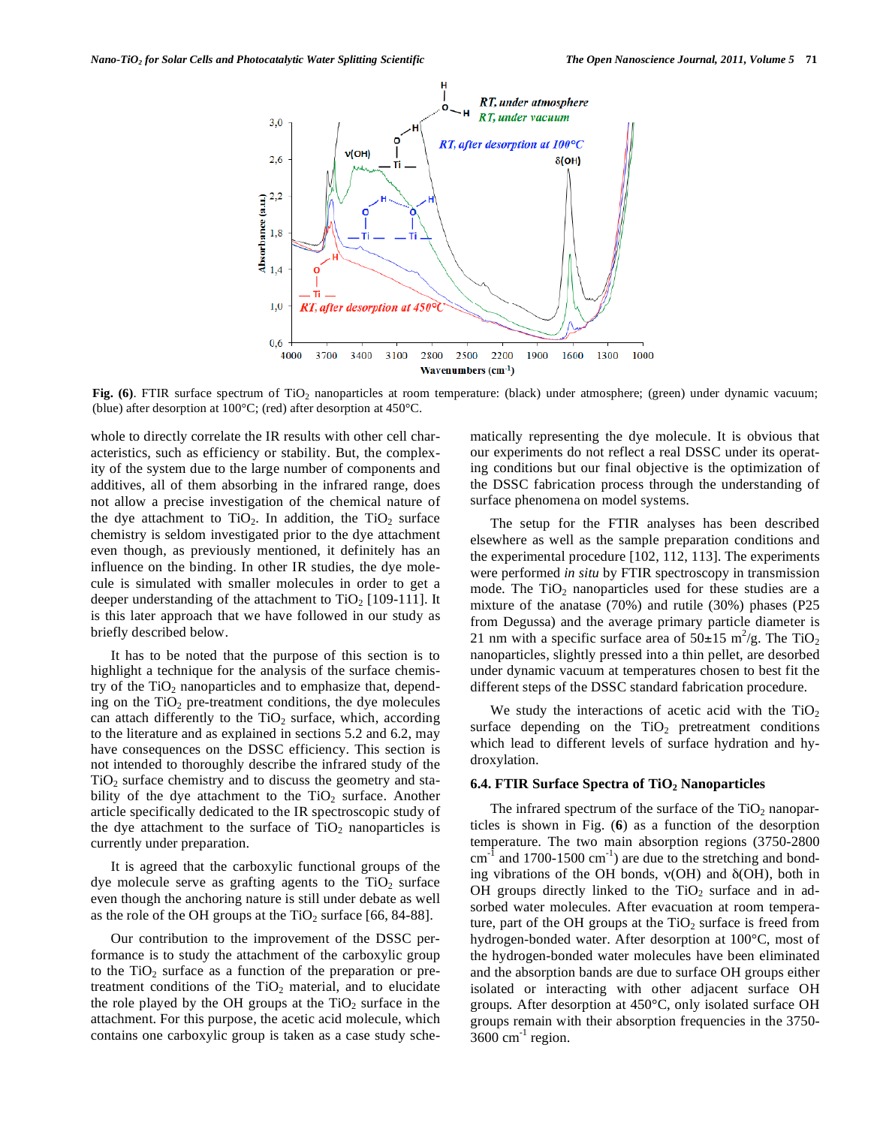

**Fig. (6)**. FTIR surface spectrum of TiO<sub>2</sub> nanoparticles at room temperature: (black) under atmosphere; (green) under dynamic vacuum; (blue) after desorption at 100°C; (red) after desorption at 450°C.

whole to directly correlate the IR results with other cell characteristics, such as efficiency or stability. But, the complexity of the system due to the large number of components and additives, all of them absorbing in the infrared range, does not allow a precise investigation of the chemical nature of the dye attachment to  $TiO<sub>2</sub>$ . In addition, the  $TiO<sub>2</sub>$  surface chemistry is seldom investigated prior to the dye attachment even though, as previously mentioned, it definitely has an influence on the binding. In other IR studies, the dye molecule is simulated with smaller molecules in order to get a deeper understanding of the attachment to  $TiO<sub>2</sub>$  [109-111]. It is this later approach that we have followed in our study as briefly described below.

It has to be noted that the purpose of this section is to highlight a technique for the analysis of the surface chemistry of the  $TiO<sub>2</sub>$  nanoparticles and to emphasize that, depending on the  $TiO<sub>2</sub>$  pre-treatment conditions, the dye molecules can attach differently to the  $TiO<sub>2</sub>$  surface, which, according to the literature and as explained in sections 5.2 and 6.2, may have consequences on the DSSC efficiency. This section is not intended to thoroughly describe the infrared study of the  $TiO<sub>2</sub>$  surface chemistry and to discuss the geometry and stability of the dye attachment to the  $TiO<sub>2</sub>$  surface. Another article specifically dedicated to the IR spectroscopic study of the dye attachment to the surface of  $TiO<sub>2</sub>$  nanoparticles is currently under preparation.

It is agreed that the carboxylic functional groups of the dye molecule serve as grafting agents to the  $TiO<sub>2</sub>$  surface even though the anchoring nature is still under debate as well as the role of the OH groups at the  $TiO<sub>2</sub>$  surface [66, 84-88].

Our contribution to the improvement of the DSSC performance is to study the attachment of the carboxylic group to the  $TiO<sub>2</sub>$  surface as a function of the preparation or pretreatment conditions of the  $TiO<sub>2</sub>$  material, and to elucidate the role played by the OH groups at the  $TiO<sub>2</sub>$  surface in the attachment. For this purpose, the acetic acid molecule, which contains one carboxylic group is taken as a case study schematically representing the dye molecule. It is obvious that our experiments do not reflect a real DSSC under its operating conditions but our final objective is the optimization of the DSSC fabrication process through the understanding of surface phenomena on model systems.

The setup for the FTIR analyses has been described elsewhere as well as the sample preparation conditions and the experimental procedure [102, 112, 113]. The experiments were performed *in situ* by FTIR spectroscopy in transmission mode. The  $TiO<sub>2</sub>$  nanoparticles used for these studies are a mixture of the anatase (70%) and rutile (30%) phases (P25 from Degussa) and the average primary particle diameter is 21 nm with a specific surface area of  $50\pm15$  m<sup>2</sup>/g. The TiO<sub>2</sub> nanoparticles, slightly pressed into a thin pellet, are desorbed under dynamic vacuum at temperatures chosen to best fit the different steps of the DSSC standard fabrication procedure.

We study the interactions of acetic acid with the  $TiO<sub>2</sub>$ surface depending on the  $TiO<sub>2</sub>$  pretreatment conditions which lead to different levels of surface hydration and hydroxylation.

#### **6.4. FTIR Surface Spectra of TiO<sub>2</sub> Nanoparticles**

The infrared spectrum of the surface of the  $TiO<sub>2</sub>$  nanoparticles is shown in Fig. (**6**) as a function of the desorption temperature. The two main absorption regions (3750-2800  $cm^{-1}$  and 1700-1500  $cm^{-1}$ ) are due to the stretching and bonding vibrations of the OH bonds,  $v(OH)$  and  $\delta(OH)$ , both in OH groups directly linked to the  $TiO<sub>2</sub>$  surface and in adsorbed water molecules. After evacuation at room temperature, part of the OH groups at the  $TiO<sub>2</sub>$  surface is freed from hydrogen-bonded water. After desorption at 100°C, most of the hydrogen-bonded water molecules have been eliminated and the absorption bands are due to surface OH groups either isolated or interacting with other adjacent surface OH groups*.* After desorption at 450°C, only isolated surface OH groups remain with their absorption frequencies in the 3750-  $3600 \text{ cm}^{-1}$  region.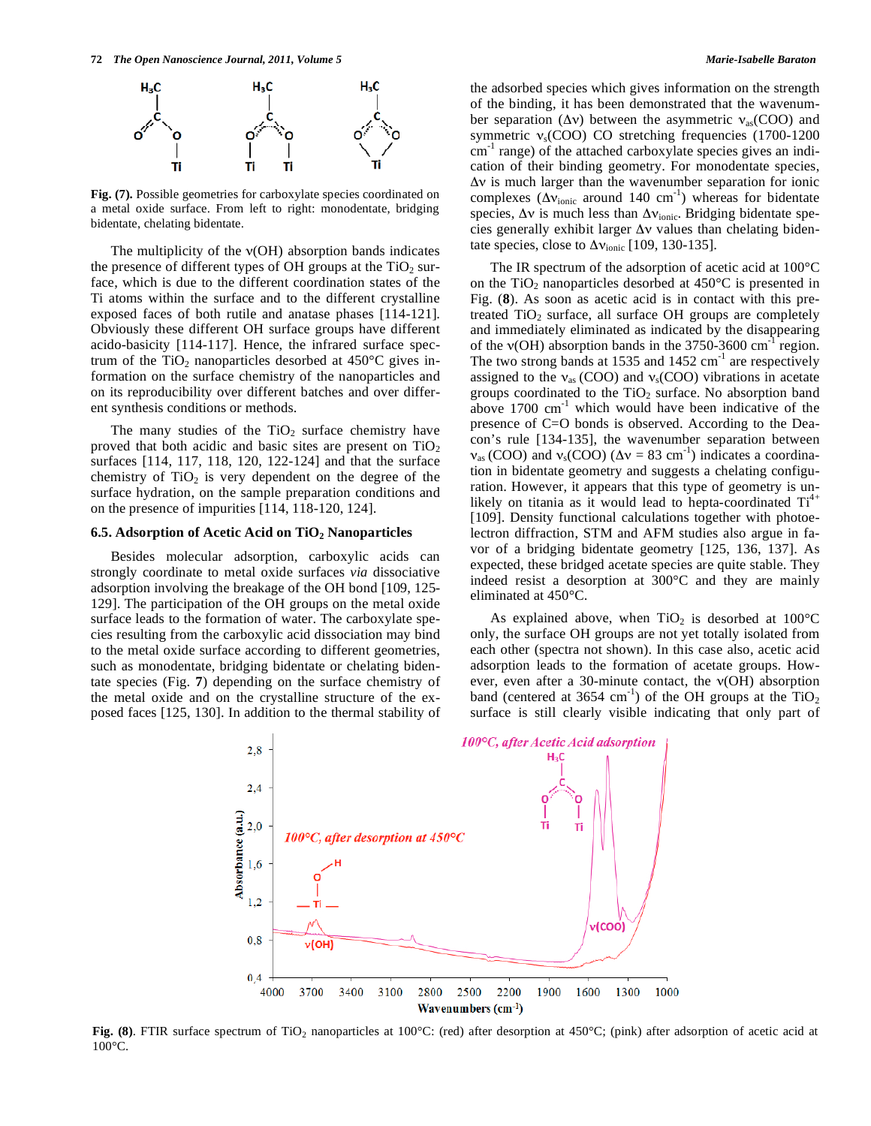

**Fig. (7).** Possible geometries for carboxylate species coordinated on a metal oxide surface. From left to right: monodentate, bridging bidentate, chelating bidentate.

The multiplicity of the  $v(OH)$  absorption bands indicates the presence of different types of OH groups at the  $TiO<sub>2</sub>$  surface, which is due to the different coordination states of the Ti atoms within the surface and to the different crystalline exposed faces of both rutile and anatase phases [114-121]. Obviously these different OH surface groups have different acido-basicity [114-117]. Hence, the infrared surface spectrum of the TiO<sub>2</sub> nanoparticles desorbed at  $450^{\circ}$ C gives information on the surface chemistry of the nanoparticles and on its reproducibility over different batches and over different synthesis conditions or methods.

The many studies of the  $TiO<sub>2</sub>$  surface chemistry have proved that both acidic and basic sites are present on  $TiO<sub>2</sub>$ surfaces [114, 117, 118, 120, 122-124] and that the surface chemistry of  $TiO<sub>2</sub>$  is very dependent on the degree of the surface hydration, on the sample preparation conditions and on the presence of impurities [114, 118-120, 124].

# **6.5. Adsorption of Acetic Acid on TiO<sub>2</sub> Nanoparticles**

Besides molecular adsorption, carboxylic acids can strongly coordinate to metal oxide surfaces *via* dissociative adsorption involving the breakage of the OH bond [109, 125- 129]. The participation of the OH groups on the metal oxide surface leads to the formation of water. The carboxylate species resulting from the carboxylic acid dissociation may bind to the metal oxide surface according to different geometries, such as monodentate, bridging bidentate or chelating bidentate species (Fig. **7**) depending on the surface chemistry of the metal oxide and on the crystalline structure of the exposed faces [125, 130]. In addition to the thermal stability of the adsorbed species which gives information on the strength of the binding, it has been demonstrated that the wavenumber separation ( $\Delta v$ ) between the asymmetric  $v_{as}(COO)$  and symmetric  $v_s$ (COO) CO stretching frequencies (1700-1200  $cm^{-1}$  range) of the attached carboxylate species gives an indication of their binding geometry. For monodentate species,  $\Delta v$  is much larger than the wavenumber separation for ionic complexes ( $\Delta v_{\text{ionic}}$  around 140 cm<sup>-1</sup>) whereas for bidentate species,  $\Delta v$  is much less than  $\Delta v_{\text{ionic}}$ . Bridging bidentate species generally exhibit larger  $\Delta v$  values than chelating bidentate species, close to  $\Delta v_{\text{ionic}}$  [109, 130-135].

The IR spectrum of the adsorption of acetic acid at 100°C on the  $TiO<sub>2</sub>$  nanoparticles desorbed at 450 $^{\circ}$ C is presented in Fig. (**8**). As soon as acetic acid is in contact with this pretreated  $TiO<sub>2</sub>$  surface, all surface OH groups are completely and immediately eliminated as indicated by the disappearing of the  $v(OH)$  absorption bands in the 3750-3600 cm<sup>-1</sup> region. The two strong bands at 1535 and  $1452 \text{ cm}^{-1}$  are respectively assigned to the  $v_{as}$  (COO) and  $v_s$ (COO) vibrations in acetate groups coordinated to the  $TiO<sub>2</sub>$  surface. No absorption band above  $1700 \text{ cm}^{-1}$  which would have been indicative of the presence of C=O bonds is observed. According to the Deacon's rule [134-135], the wavenumber separation between  $v_{\text{as}}$  (COO) and  $v_{\text{s}}$ (COO) ( $\Delta v = 83 \text{ cm}^{-1}$ ) indicates a coordination in bidentate geometry and suggests a chelating configuration. However, it appears that this type of geometry is unlikely on titania as it would lead to hepta-coordinated  $Ti<sup>4+</sup>$ [109]. Density functional calculations together with photoelectron diffraction, STM and AFM studies also argue in favor of a bridging bidentate geometry [125, 136, 137]. As expected, these bridged acetate species are quite stable. They indeed resist a desorption at 300°C and they are mainly eliminated at 450°C.

As explained above, when  $TiO<sub>2</sub>$  is desorbed at  $100^{\circ}$ C only, the surface OH groups are not yet totally isolated from each other (spectra not shown). In this case also, acetic acid adsorption leads to the formation of acetate groups. However, even after a 30-minute contact, the  $v(OH)$  absorption band (centered at 3654 cm<sup>-1</sup>) of the OH groups at the  $TiO<sub>2</sub>$ surface is still clearly visible indicating that only part of



**Fig. (8)**. FTIR surface spectrum of TiO<sub>2</sub> nanoparticles at 100°C: (red) after desorption at 450°C; (pink) after adsorption of acetic acid at 100°C.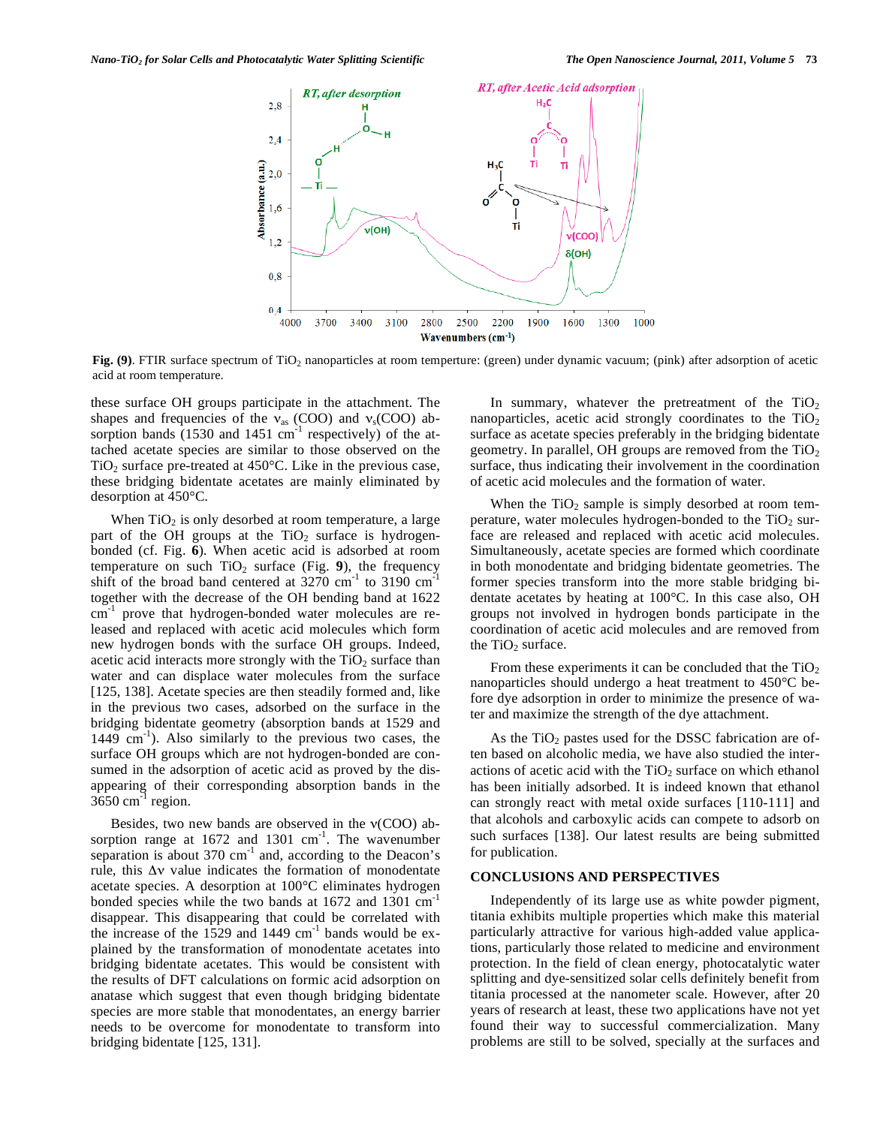

Fig. (9). FTIR surface spectrum of TiO<sub>2</sub> nanoparticles at room temperture: (green) under dynamic vacuum; (pink) after adsorption of acetic acid at room temperature.

these surface OH groups participate in the attachment. The shapes and frequencies of the  $v_{as}$  (COO) and  $v_s$ (COO) absorption bands  $(1530 \text{ and } 1451 \text{ cm}^{-1}$  respectively) of the attached acetate species are similar to those observed on the TiO<sub>2</sub> surface pre-treated at  $450^{\circ}$ C. Like in the previous case, these bridging bidentate acetates are mainly eliminated by desorption at 450°C.

When  $TiO<sub>2</sub>$  is only desorbed at room temperature, a large part of the OH groups at the  $TiO<sub>2</sub>$  surface is hydrogenbonded (cf. Fig. **6**)*.* When acetic acid is adsorbed at room temperature on such  $TiO<sub>2</sub>$  surface (Fig. 9), the frequency shift of the broad band centered at  $3270 \text{ cm}^{-1}$  to  $3190 \text{ cm}^{-1}$ together with the decrease of the OH bending band at 1622 cm<sup>-1</sup> prove that hydrogen-bonded water molecules are released and replaced with acetic acid molecules which form new hydrogen bonds with the surface OH groups. Indeed, acetic acid interacts more strongly with the  $TiO<sub>2</sub>$  surface than water and can displace water molecules from the surface [125, 138]. Acetate species are then steadily formed and, like in the previous two cases, adsorbed on the surface in the bridging bidentate geometry (absorption bands at 1529 and  $1449 \text{ cm}^{-1}$ ). Also similarly to the previous two cases, the surface OH groups which are not hydrogen-bonded are consumed in the adsorption of acetic acid as proved by the disappearing of their corresponding absorption bands in the  $3650$  cm<sup>-1</sup> region.

Besides, two new bands are observed in the  $v(COO)$  absorption range at  $1672$  and  $1301$  cm<sup>-1</sup>. The wavenumber separation is about  $370 \text{ cm}^{-1}$  and, according to the Deacon's rule, this  $\Delta v$  value indicates the formation of monodentate acetate species. A desorption at 100°C eliminates hydrogen bonded species while the two bands at 1672 and 1301 cm-1 disappear. This disappearing that could be correlated with the increase of the  $1529$  and  $1449$  cm<sup>-1</sup> bands would be explained by the transformation of monodentate acetates into bridging bidentate acetates. This would be consistent with the results of DFT calculations on formic acid adsorption on anatase which suggest that even though bridging bidentate species are more stable that monodentates, an energy barrier needs to be overcome for monodentate to transform into bridging bidentate [125, 131].

In summary, whatever the pretreatment of the  $TiO<sub>2</sub>$ nanoparticles, acetic acid strongly coordinates to the  $TiO<sub>2</sub>$ surface as acetate species preferably in the bridging bidentate geometry. In parallel, OH groups are removed from the  $TiO<sub>2</sub>$ surface, thus indicating their involvement in the coordination of acetic acid molecules and the formation of water.

When the  $TiO<sub>2</sub>$  sample is simply desorbed at room temperature, water molecules hydrogen-bonded to the  $TiO<sub>2</sub>$  surface are released and replaced with acetic acid molecules. Simultaneously, acetate species are formed which coordinate in both monodentate and bridging bidentate geometries. The former species transform into the more stable bridging bidentate acetates by heating at 100°C. In this case also, OH groups not involved in hydrogen bonds participate in the coordination of acetic acid molecules and are removed from the  $TiO<sub>2</sub>$  surface.

From these experiments it can be concluded that the  $TiO<sub>2</sub>$ nanoparticles should undergo a heat treatment to 450°C before dye adsorption in order to minimize the presence of water and maximize the strength of the dye attachment.

As the  $TiO<sub>2</sub>$  pastes used for the DSSC fabrication are often based on alcoholic media, we have also studied the interactions of acetic acid with the  $TiO<sub>2</sub>$  surface on which ethanol has been initially adsorbed. It is indeed known that ethanol can strongly react with metal oxide surfaces [110-111] and that alcohols and carboxylic acids can compete to adsorb on such surfaces [138]. Our latest results are being submitted for publication.

# **CONCLUSIONS AND PERSPECTIVES**

Independently of its large use as white powder pigment, titania exhibits multiple properties which make this material particularly attractive for various high-added value applications, particularly those related to medicine and environment protection. In the field of clean energy, photocatalytic water splitting and dye-sensitized solar cells definitely benefit from titania processed at the nanometer scale. However, after 20 years of research at least, these two applications have not yet found their way to successful commercialization. Many problems are still to be solved, specially at the surfaces and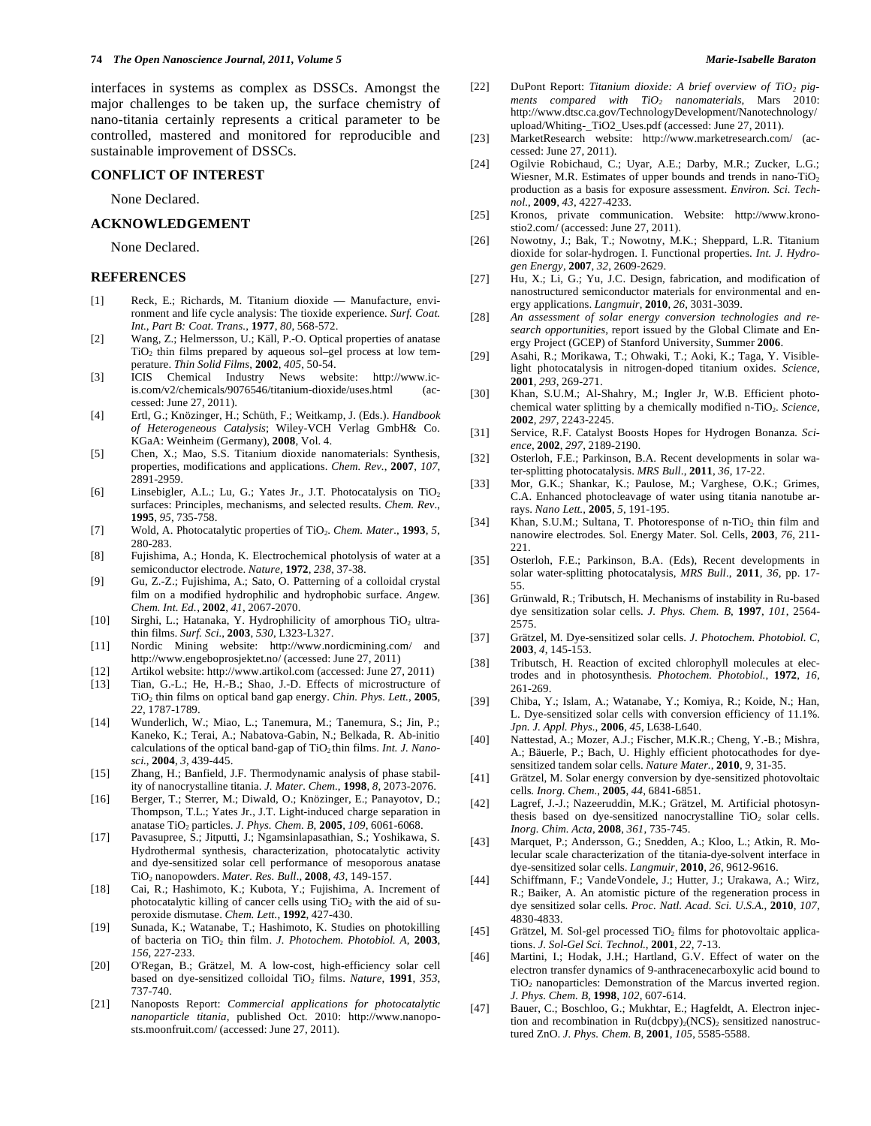interfaces in systems as complex as DSSCs. Amongst the major challenges to be taken up, the surface chemistry of nano-titania certainly represents a critical parameter to be controlled, mastered and monitored for reproducible and sustainable improvement of DSSCs.

#### **CONFLICT OF INTEREST**

None Declared.

# **ACKNOWLEDGEMENT**

None Declared.

# **REFERENCES**

- [1] Reck, E.; Richards, M. Titanium dioxide Manufacture, environment and life cycle analysis: The tioxide experience*. Surf. Coat. Int., Part B: Coat. Trans.*, **1977**, *80*, 568-572.
- [2] Wang, Z.; Helmersson, U.; Käll, P.-O. Optical properties of anatase  $TiO<sub>2</sub>$  thin films prepared by aqueous sol–gel process at low temperature. *Thin Solid Films*, **2002**, *405*, 50-54.
- [3] ICIS Chemical Industry News website: http://www.icis.com/v2/chemicals/9076546/titanium-dioxide/uses.html (accessed: June 27, 2011).
- [4] Ertl, G.; Knözinger, H.; Schüth, F.; Weitkamp, J. (Eds.). *Handbook of Heterogeneous Catalysis*; Wiley-VCH Verlag GmbH& Co. KGaA: Weinheim (Germany), **2008**, Vol. 4.
- [5] Chen, X.; Mao, S.S. Titanium dioxide nanomaterials: Synthesis, properties, modifications and applications. *Chem. Rev.*, **2007**, *107*, 2891-2959.
- [6] Linsebigler, A.L.; Lu, G.; Yates Jr., J.T. Photocatalysis on  $TiO<sub>2</sub>$ surfaces: Principles, mechanisms, and selected results. *Chem. Rev*., **1995**, *95*, 735-758.
- [7] Wold, A. Photocatalytic properties of TiO<sub>2</sub>. *Chem. Mater.*, 1993, 5, 280-283.
- [8] Fujishima, A.; Honda, K. Electrochemical photolysis of water at a semiconductor electrode. *Nature*, **1972**, *238*, 37-38.
- [9] Gu, Z.-Z.; Fujishima, A.; Sato, O. Patterning of a colloidal crystal film on a modified hydrophilic and hydrophobic surface. *Angew. Chem. Int. Ed.*, **2002**, *41*, 2067-2070.
- [10] Sirghi, L.; Hatanaka, Y. Hydrophilicity of amorphous  $TiO<sub>2</sub>$  ultrathin films. *Surf. Sci.*, **2003**, *530*, L323-L327.
- [11] Nordic Mining website: http://www.nordicmining.com/ and http://www.engeboprosjektet.no/ (accessed: June 27, 2011)
- [12] Artikol website: http://www.artikol.com (accessed: June 27, 2011)
- [13] Tian, G.-L.; He, H.-B.; Shao, J.-D. Effects of microstructure of TiO2 thin films on optical band gap energy. *Chin. Phys. Lett.*, **2005**, *22*, 1787-1789.
- [14] Wunderlich, W.; Miao, L.; Tanemura, M.; Tanemura, S.; Jin, P.; Kaneko, K.; Terai, A.; Nabatova-Gabin, N.; Belkada, R. Ab-initio calculations of the optical band-gap of TiO<sub>2</sub> thin films. *Int. J. Nanosci.*, **2004**, *3*, 439-445.
- [15] Zhang, H.; Banfield, J.F. Thermodynamic analysis of phase stability of nanocrystalline titania. *J. Mater. Chem.*, **1998**, *8*, 2073-2076.
- [16] Berger, T.; Sterrer, M.; Diwald, O.; Knözinger, E.; Panayotov, D.; Thompson, T.L.; Yates Jr., J.T. Light-induced charge separation in anatase TiO2 particles. *J. Phys. Chem. B*, **2005**, *109*, 6061-6068.
- [17] Pavasupree, S.; Jitputti, J.; Ngamsinlapasathian, S.; Yoshikawa, S. Hydrothermal synthesis, characterization, photocatalytic activity and dye-sensitized solar cell performance of mesoporous anatase TiO2 nanopowders. *Mater. Res. Bull.*, **2008**, *43*, 149-157.
- [18] Cai, R.; Hashimoto, K.; Kubota, Y.; Fujishima, A. Increment of photocatalytic killing of cancer cells using  $TiO<sub>2</sub>$  with the aid of superoxide dismutase. *Chem. Lett*., **1992**, 427-430.
- [19] Sunada, K.; Watanabe, T.; Hashimoto, K. Studies on photokilling of bacteria on TiO2 thin film. *J. Photochem. Photobiol. A*, **2003**, *156*, 227-233.
- [20] O'Regan, B.; Grätzel, M. A low-cost, high-efficiency solar cell based on dye-sensitized colloidal TiO<sub>2</sub> films. *Nature*, 1991, 353, 737-740.
- [21] Nanoposts Report: *Commercial applications for photocatalytic nanoparticle titania*, published Oct. 2010: http://www.nanoposts.moonfruit.com/ (accessed: June 27, 2011).
- [22] DuPont Report: *Titanium dioxide: A brief overview of TiO<sub>2</sub> pigments compared with TiO2 nanomaterials*, Mars 2010: http://www.dtsc.ca.gov/TechnologyDevelopment/Nanotechnology/ upload/Whiting-\_TiO2\_Uses.pdf (accessed: June 27, 2011).
- [23] MarketResearch website: http://www.marketresearch.com/ (accessed: June 27, 2011).
- [24] Ogilvie Robichaud, C.; Uyar, A.E.; Darby, M.R.; Zucker, L.G.; Wiesner, M.R. Estimates of upper bounds and trends in nano-TiO<sub>2</sub> production as a basis for exposure assessment. *Environ. Sci. Technol.*, **2009**, *43*, 4227-4233.
- [25] Kronos, private communication. Website: http://www.kronostio2.com/ (accessed: June 27, 2011).
- [26] Nowotny, J.; Bak, T.; Nowotny, M.K.; Sheppard, L.R. Titanium dioxide for solar-hydrogen. I. Functional properties. *Int. J. Hydrogen Energy*, **2007**, *32*, 2609-2629.
- [27] Hu, X.; Li, G.; Yu, J.C. Design, fabrication, and modification of nanostructured semiconductor materials for environmental and energy applications. *Langmuir*, **2010**, *26*, 3031-3039.
- [28] *An assessment of solar energy conversion technologies and research opportunities*, report issued by the Global Climate and Energy Project (GCEP) of Stanford University, Summer **2006**.
- [29] Asahi, R.; Morikawa, T.; Ohwaki, T.; Aoki, K.; Taga, Y. Visiblelight photocatalysis in nitrogen-doped titanium oxides. *Science*, **2001**, *293*, 269-271.
- [30] Khan, S.U.M.; Al-Shahry, M.; Ingler Jr, W.B. Efficient photochemical water splitting by a chemically modified n-TiO<sub>2</sub>. Science, **2002**, *297*, 2243-2245.
- [31] Service, R.F. Catalyst Boosts Hopes for Hydrogen Bonanza*. Science*, **2002**, *297*, 2189-2190.
- [32] Osterloh, F.E.; Parkinson, B.A. Recent developments in solar water-splitting photocatalysis. *MRS Bull*., **2011**, *36*, 17-22.
- [33] Mor, G.K.; Shankar, K.; Paulose, M.; Varghese, O.K.; Grimes, C.A. Enhanced photocleavage of water using titania nanotube arrays. *Nano Lett.*, **2005**, *5*, 191-195.
- [34] Khan, S.U.M.; Sultana, T. Photoresponse of n-TiO<sub>2</sub> thin film and nanowire electrodes*.* Sol. Energy Mater. Sol. Cells, **2003**, *76*, 211- 221.
- [35] Osterloh, F.E.; Parkinson, B.A. (Eds), Recent developments in solar water-splitting photocatalysis, *MRS Bull.*, **2011**, *36*, pp. 17- 55.
- [36] Grünwald, R.; Tributsch, H. Mechanisms of instability in Ru-based dye sensitization solar cells. *J. Phys. Chem. B*, **1997**, *101*, 2564- 2575.
- [37] Grätzel, M. Dye-sensitized solar cells. *J. Photochem. Photobiol. C*, **2003**, *4*, 145-153.
- [38] Tributsch, H. Reaction of excited chlorophyll molecules at electrodes and in photosynthesis*. Photochem. Photobiol.*, **1972**, *16*, 261-269.
- [39] Chiba, Y.; Islam, A.; Watanabe, Y.; Komiya, R.; Koide, N.; Han, L. Dye-sensitized solar cells with conversion efficiency of 11.1%. *Jpn. J. Appl. Phys.*, **2006**, *45*, L638-L640.
- [40] Nattestad, A.; Mozer, A.J.; Fischer, M.K.R.; Cheng, Y.-B.; Mishra, A.; Bäuerle, P.; Bach, U. Highly efficient photocathodes for dyesensitized tandem solar cells. *Nature Mater.*, **2010**, *9*, 31-35.
- [41] Grätzel, M. Solar energy conversion by dye-sensitized photovoltaic cells*. Inorg. Chem.*, **2005**, *44*, 6841-6851.
- [42] Lagref, J.-J.; Nazeeruddin, M.K.; Grätzel, M. Artificial photosynthesis based on dye-sensitized nanocrystalline  $TiO<sub>2</sub>$  solar cells. *Inorg. Chim. Acta*, **2008**, *361*, 735-745.
- [43] Marquet, P.; Andersson, G.; Snedden, A.; Kloo, L.; Atkin, R. Molecular scale characterization of the titania-dye-solvent interface in dye-sensitized solar cells. *Langmuir*, **2010**, *26*, 9612-9616.
- [44] Schiffmann, F.; VandeVondele, J.; Hutter, J.; Urakawa, A.; Wirz, R.; Baiker, A. An atomistic picture of the regeneration process in dye sensitized solar cells. *Proc. Natl. Acad. Sci. U.S.A.*, **2010**, *107*, 4830-4833.
- [45] Grätzel, M. Sol-gel processed TiO<sub>2</sub> films for photovoltaic applications. *J. Sol-Gel Sci. Technol.*, **2001**, *22*, 7-13.
- [46] Martini, I.; Hodak, J.H.; Hartland, G.V. Effect of water on the electron transfer dynamics of 9-anthracenecarboxylic acid bound to TiO<sub>2</sub> nanoparticles: Demonstration of the Marcus inverted region. *J. Phys. Chem. B*, **1998**, *102*, 607-614.
- [47] Bauer, C.; Boschloo, G.; Mukhtar, E.; Hagfeldt, A. Electron injection and recombination in  $Ru(dcbpy)_{2}(NCS)_{2}$  sensitized nanostructured ZnO. *J. Phys. Chem. B*, **2001**, *105*, 5585-5588.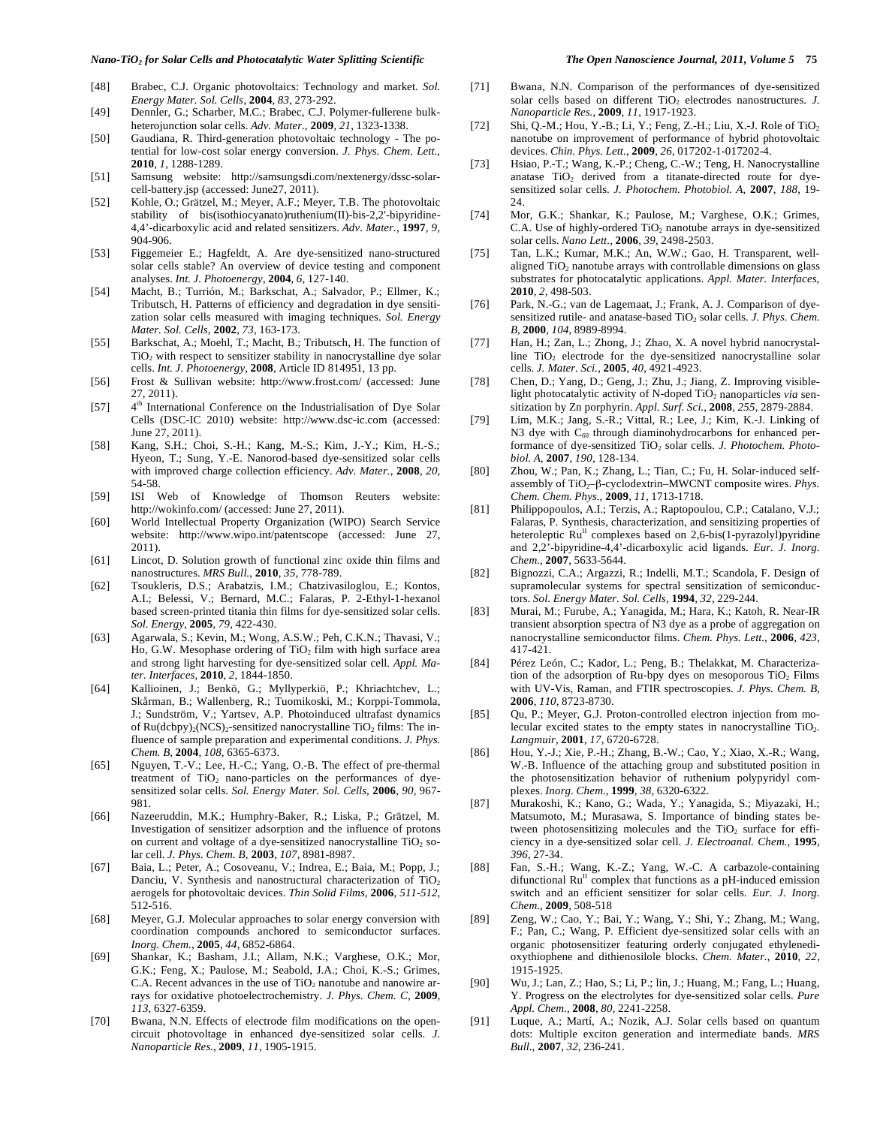- [48] Brabec, C.J. Organic photovoltaics: Technology and market. *Sol. Energy Mater. Sol. Cells*, **2004**, *83*, 273-292.
- [49] Dennler, G.; Scharber, M.C.; Brabec, C.J. Polymer-fullerene bulkheterojunction solar cells. *Adv. Mater.*, **2009**, *21*, 1323-1338.
- [50] Gaudiana, R. Third-generation photovoltaic technology The potential for low-cost solar energy conversion. *J. Phys. Chem. Lett.*, **2010**, *1*, 1288-1289.
- [51] Samsung website: http://samsungsdi.com/nextenergy/dssc-solarcell-battery.jsp (accessed: June27, 2011).
- [52] Kohle, O.; Grätzel, M.; Meyer, A.F.; Meyer, T.B. The photovoltaic stability of bis(isothiocyanato)ruthenium(II)-bis-2,2'-bipyridine-4,4'-dicarboxylic acid and related sensitizers. *Adv. Mater.*, **1997**, *9*, 904-906.
- [53] Figgemeier E.; Hagfeldt, A. Are dye-sensitized nano-structured solar cells stable? An overview of device testing and component analyses. *Int. J. Photoenergy*, **2004**, *6*, 127-140.
- [54] Macht, B.; Turrión, M.; Barkschat, A.; Salvador, P.; Ellmer, K.; Tributsch, H. Patterns of efficiency and degradation in dye sensitization solar cells measured with imaging techniques. *Sol. Energy Mater. Sol. Cells*, **2002**, *73*, 163-173.
- [55] Barkschat, A.; Moehl, T.; Macht, B.; Tributsch, H. The function of  $TiO<sub>2</sub>$  with respect to sensitizer stability in nanocrystalline dye solar cells. *Int. J. Photoenergy*, **2008**, Article ID 814951, 13 pp.
- [56] Frost & Sullivan website: http://www.frost.com/ (accessed: June 27, 2011).
- [57]  $4<sup>th</sup> International Conference on the Industrialisation of Dye Solar$ Cells (DSC-IC 2010) website: http://www.dsc-ic.com (accessed: June 27, 2011).
- [58] Kang, S.H.; Choi, S.-H.; Kang, M.-S.; Kim, J.-Y.; Kim, H.-S.; Hyeon, T.; Sung, Y.-E. Nanorod-based dye-sensitized solar cells with improved charge collection efficiency. *Adv. Mater.*, **2008**, *20*, 54-58.
- [59] ISI Web of Knowledge of Thomson Reuters website: http://wokinfo.com/ (accessed: June 27, 2011).
- [60] World Intellectual Property Organization (WIPO) Search Service website: http://www.wipo.int/patentscope (accessed: June 27, 2011).
- [61] Lincot, D. Solution growth of functional zinc oxide thin films and nanostructures. *MRS Bull.*, **2010**, *35*, 778-789.
- [62] Tsoukleris, D.S.; Arabatzis, I.M.; Chatzivasiloglou, E.; Kontos, A.I.; Belessi, V.; Bernard, M.C.; Falaras, P. 2-Ethyl-1-hexanol based screen-printed titania thin films for dye-sensitized solar cells. *Sol. Energy*, **2005**, *79*, 422-430.
- [63] Agarwala, S.; Kevin, M.; Wong, A.S.W.; Peh, C.K.N.; Thavasi, V.; Ho, G.W. Mesophase ordering of TiO<sub>2</sub> film with high surface area and strong light harvesting for dye-sensitized solar cell. *Appl. Mater. Interfaces*, **2010**, *2*, 1844-1850.
- [64] Kallioinen, J.; Benkö, G.; Myllyperkiö, P.; Khriachtchev, L.; Skårman, B.; Wallenberg, R.; Tuomikoski, M.; Korppi-Tommola, J.; Sundström, V.; Yartsev, A.P. Photoinduced ultrafast dynamics of  $Ru(dcbpy)<sub>2</sub>(NCS)<sub>2</sub>$ -sensitized nanocrystalline TiO<sub>2</sub> films: The influence of sample preparation and experimental conditions. *J. Phys. Chem. B*, **2004**, *108*, 6365-6373.
- [65] Nguyen, T.-V.; Lee, H.-C.; Yang, O.-B. The effect of pre-thermal treatment of  $TiO<sub>2</sub>$  nano-particles on the performances of dyesensitized solar cells. *Sol. Energy Mater. Sol. Cells*, **2006**, *90*, 967- 981.
- [66] Nazeeruddin, M.K.; Humphry-Baker, R.; Liska, P.; Grätzel, M. Investigation of sensitizer adsorption and the influence of protons on current and voltage of a dye-sensitized nanocrystalline  $TiO<sub>2</sub>$  solar cell. *J. Phys. Chem. B*, **2003**, *107*, 8981-8987.
- [67] Baia, L.; Peter, A.; Cosoveanu, V.; Indrea, E.; Baia, M.; Popp, J.; Danciu, V. Synthesis and nanostructural characterization of TiO<sub>2</sub> aerogels for photovoltaic devices. *Thin Solid Films*, **2006**, *511-512*, 512-516.
- [68] Meyer, G.J. Molecular approaches to solar energy conversion with coordination compounds anchored to semiconductor surfaces. *Inorg. Chem.*, **2005**, *44*, 6852-6864.
- [69] Shankar, K.; Basham, J.I.; Allam, N.K.; Varghese, O.K.; Mor, G.K.; Feng, X.; Paulose, M.; Seabold, J.A.; Choi, K.-S.; Grimes, C.A. Recent advances in the use of  $TiO<sub>2</sub>$  nanotube and nanowire arrays for oxidative photoelectrochemistry. *J. Phys. Chem. C*, **2009**, *113*, 6327-6359.
- [70] Bwana, N.N. Effects of electrode film modifications on the opencircuit photovoltage in enhanced dye-sensitized solar cells. *J. Nanoparticle Res.*, **2009**, *11*, 1905-1915.
- [71] Bwana, N.N. Comparison of the performances of dye-sensitized solar cells based on different TiO<sub>2</sub> electrodes nanostructures. *J*. *Nanoparticle Res.*, **2009**, *11*, 1917-1923.
- [72] Shi, Q.-M.; Hou, Y.-B.; Li, Y.; Feng, Z.-H.; Liu, X.-J. Role of TiO<sub>2</sub> nanotube on improvement of performance of hybrid photovoltaic devices. *Chin. Phys. Lett.*, **2009**, *26*, 017202-1-017202-4.
- [73] Hsiao, P.-T.; Wang, K.-P.; Cheng, C.-W.; Teng, H. Nanocrystalline anatase  $TiO<sub>2</sub>$  derived from a titanate-directed route for dyesensitized solar cells. *J. Photochem. Photobiol. A*, **2007**, *188*, 19- 24.
- [74] Mor, G.K.; Shankar, K.; Paulose, M.; Varghese, O.K.; Grimes, C.A. Use of highly-ordered  $TiO<sub>2</sub>$  nanotube arrays in dye-sensitized solar cells. *Nano Lett.*, **2006**, *39*, 2498-2503.
- [75] Tan, L.K.; Kumar, M.K.; An, W.W.; Gao, H. Transparent, wellaligned  $TiO<sub>2</sub>$  nanotube arrays with controllable dimensions on glass substrates for photocatalytic applications. *Appl. Mater. Interfaces*, **2010**, *2*, 498-503.
- [76] Park, N.-G.; van de Lagemaat, J.; Frank, A. J. Comparison of dyesensitized rutile- and anatase-based TiO<sub>2</sub> solar cells. *J. Phys. Chem. B*, **2000**, *104*, 8989-8994.
- [77] Han, H.; Zan, L.; Zhong, J.; Zhao, X. A novel hybrid nanocrystalline TiO<sub>2</sub> electrode for the dye-sensitized nanocrystalline solar cells. *J. Mater. Sci.*, **2005**, *40*, 4921-4923.
- [78] Chen, D.; Yang, D.; Geng, J.; Zhu, J.; Jiang, Z. Improving visiblelight photocatalytic activity of N-doped  $TiO<sub>2</sub>$  nanoparticles *via* sensitization by Zn porphyrin. *Appl. Surf. Sci.*, **2008**, *255*, 2879-2884.
- [79] Lim, M.K.; Jang, S.-R.; Vittal, R.; Lee, J.; Kim, K.-J. Linking of N3 dye with  $C_{60}$  through diaminohydrocarbons for enhanced performance of dye-sensitized TiO<sub>2</sub> solar cells. *J. Photochem. Photobiol. A*, **2007**, *190*, 128-134.
- [80] Zhou, W.; Pan, K.; Zhang, L.; Tian, C.; Fu, H. Solar-induced selfassembly of TiO<sub>2</sub>-β-cyclodextrin–MWCNT composite wires. *Phys. Chem. Chem. Phys.*, **2009**, *11*, 1713-1718.
- [81] Philippopoulos, A.I.; Terzis, A.; Raptopoulou, C.P.; Catalano, V.J.; Falaras, P. Synthesis, characterization, and sensitizing properties of heteroleptic Ru<sup>II</sup> complexes based on 2,6-bis(1-pyrazolyl)pyridine and 2,2'-bipyridine-4,4'-dicarboxylic acid ligands. *Eur. J. Inorg. Chem.*, **2007**, 5633-5644.
- [82] Bignozzi, C.A.; Argazzi, R.; Indelli, M.T.; Scandola, F. Design of supramolecular systems for spectral sensitization of semiconductors. *Sol. Energy Mater. Sol. Cells*, **1994**, *32*, 229-244.
- [83] Murai, M.; Furube, A.; Yanagida, M.; Hara, K.; Katoh, R. Near-IR transient absorption spectra of N3 dye as a probe of aggregation on nanocrystalline semiconductor films. *Chem. Phys. Lett.*, **2006**, *423*, 417-421.
- [84] Pérez León, C.; Kador, L.; Peng, B.; Thelakkat, M. Characterization of the adsorption of Ru-bpy dyes on mesoporous  $TiO<sub>2</sub>$  Films with UV-Vis, Raman, and FTIR spectroscopies. *J. Phys. Chem. B*, **2006**, *110*, 8723-8730.
- [85] Ou, P.; Meyer, G.J. Proton-controlled electron injection from molecular excited states to the empty states in nanocrystalline TiO2. *Langmuir*, **2001**, *17*, 6720-6728.
- [86] Hou, Y.-J.; Xie, P.-H.; Zhang, B.-W.; Cao, Y.; Xiao, X.-R.; Wang, W.-B. Influence of the attaching group and substituted position in the photosensitization behavior of ruthenium polypyridyl complexes. *Inorg. Chem.*, **1999**, *38*, 6320-6322.
- [87] Murakoshi, K.; Kano, G.; Wada, Y.; Yanagida, S.; Miyazaki, H.; Matsumoto, M.; Murasawa, S. Importance of binding states between photosensitizing molecules and the  $TiO<sub>2</sub>$  surface for efficiency in a dye-sensitized solar cell. *J. Electroanal. Chem.*, **1995**, *396*, 27-34.
- [88] Fan, S.-H.; Wang, K.-Z.; Yang, W.-C. A carbazole-containing difunctional  $Ru<sup>II</sup>$  complex that functions as a pH-induced emission switch and an efficient sensitizer for solar cells. *Eur. J. Inorg. Chem.*, **2009**, 508-518
- [89] Zeng, W.; Cao, Y.; Bai, Y.; Wang, Y.; Shi, Y.; Zhang, M.; Wang, F.; Pan, C.; Wang, P. Efficient dye-sensitized solar cells with an organic photosensitizer featuring orderly conjugated ethylenedioxythiophene and dithienosilole blocks. *Chem. Mater.*, **2010**, *22*, 1915-1925.
- [90] Wu, J.; Lan, Z.; Hao, S.; Li, P.; lin, J.; Huang, M.; Fang, L.; Huang, Y. Progress on the electrolytes for dye-sensitized solar cells. *Pure Appl. Chem.*, **2008**, *80*, 2241-2258.
- [91] Luque, A.; Martí, A.; Nozik, A.J. Solar cells based on quantum dots: Multiple exciton generation and intermediate bands. *MRS Bull.*, **2007**, *32*, 236-241.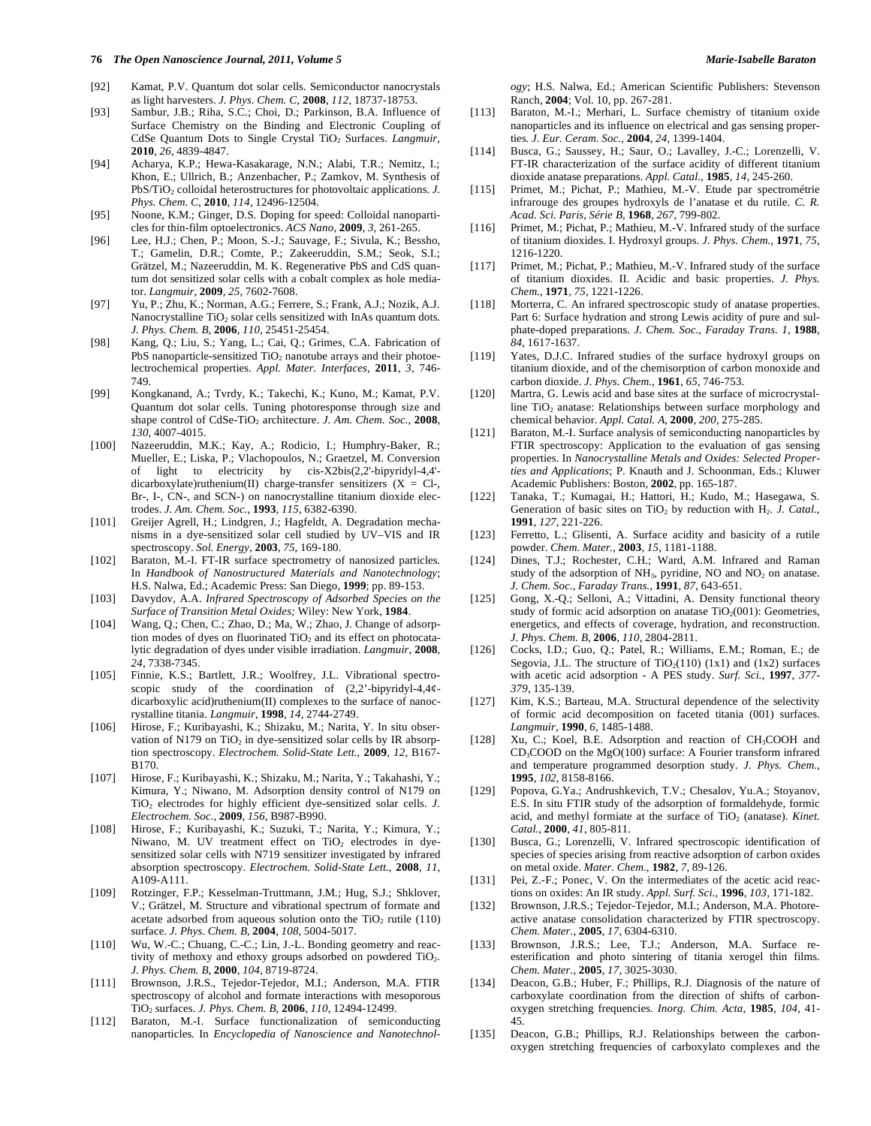#### *76 The Open Nanoscience Journal, 2011, Volume 5* **Marie-Isabelle Baraton** *Marie-Isabelle Baraton**Marie-Isabelle Baraton*

- [92] Kamat, P.V. Quantum dot solar cells. Semiconductor nanocrystals as light harvesters. *J. Phys. Chem. C*, **2008**, *112*, 18737-18753.
- [93] Sambur, J.B.; Riha, S.C.; Choi, D.; Parkinson, B.A. Influence of Surface Chemistry on the Binding and Electronic Coupling of CdSe Quantum Dots to Single Crystal TiO<sub>2</sub> Surfaces. *Langmuir*, **2010**, *26*, 4839-4847.
- [94] Acharya, K.P.; Hewa-Kasakarage, N.N.; Alabi, T.R.; Nemitz, I.; Khon, E.; Ullrich, B.; Anzenbacher, P.; Zamkov, M. Synthesis of PbS/TiO<sub>2</sub> colloidal heterostructures for photovoltaic applications. *J*. *Phys. Chem. C*, **2010**, *114*, 12496-12504.
- [95] Noone, K.M.; Ginger, D.S. Doping for speed: Colloidal nanoparticles for thin-film optoelectronics. *ACS Nano*, **2009**, *3*, 261-265.
- [96] Lee, H.J.; Chen, P.; Moon, S.-J.; Sauvage, F.; Sivula, K.; Bessho, T.; Gamelin, D.R.; Comte, P.; Zakeeruddin, S.M.; Seok, S.I.; Grätzel, M.; Nazeeruddin, M. K. Regenerative PbS and CdS quantum dot sensitized solar cells with a cobalt complex as hole mediator. *Langmuir*, **2009**, *25*, 7602-7608.
- [97] Yu, P.; Zhu, K.; Norman, A.G.; Ferrere, S.; Frank, A.J.; Nozik, A.J. Nanocrystalline TiO<sub>2</sub> solar cells sensitized with InAs quantum dots. *J. Phys. Chem. B*, **2006**, *110*, 25451-25454.
- [98] Kang, Q.; Liu, S.; Yang, L.; Cai, Q.; Grimes, C.A. Fabrication of PbS nanoparticle-sensitized  $TiO<sub>2</sub>$  nanotube arrays and their photoelectrochemical properties. *Appl. Mater. Interfaces*, **2011**, *3*, 746- 749.
- [99] Kongkanand, A.; Tvrdy, K.; Takechi, K.; Kuno, M.; Kamat, P.V. Quantum dot solar cells. Tuning photoresponse through size and shape control of CdSe-TiO<sub>2</sub> architecture. *J. Am. Chem. Soc.*, 2008, *130*, 4007-4015.
- [100] Nazeeruddin, M.K.; Kay, A.; Rodicio, I.; Humphry-Baker, R.; Mueller, E.; Liska, P.; Vlachopoulos, N.; Graetzel, M. Conversion of light to electricity by cis-X2bis(2,2'-bipyridyl-4,4' dicarboxylate)ruthenium(II) charge-transfer sensitizers  $(X = Cl-$ , Br-, I-, CN-, and SCN-) on nanocrystalline titanium dioxide electrodes. *J. Am. Chem. Soc.*, **1993**, *115*, 6382-6390.
- [101] Greijer Agrell, H.; Lindgren, J.; Hagfeldt, A. Degradation mechanisms in a dye-sensitized solar cell studied by UV–VIS and IR spectroscopy. *Sol. Energy*, **2003**, *75*, 169-180.
- [102] Baraton, M.-I. FT-IR surface spectrometry of nanosized particles*.* In *Handbook of Nanostructured Materials and Nanotechnology*; H.S. Nalwa, Ed.; Academic Press: San Diego, **1999**; pp. 89-153.
- [103] Davydov, A.A. *Infrared Spectroscopy of Adsorbed Species on the Surface of Transition Metal Oxides;* Wiley: New York, **1984**.
- [104] Wang, Q.; Chen, C.; Zhao, D.; Ma, W.; Zhao, J. Change of adsorption modes of dyes on fluorinated  $TiO<sub>2</sub>$  and its effect on photocatalytic degradation of dyes under visible irradiation. *Langmuir*, **2008**, *24*, 7338-7345.
- [105] Finnie, K.S.; Bartlett, J.R.; Woolfrey, J.L. Vibrational spectroscopic study of the coordination of (2,2'-bipyridyl-4,4¢ dicarboxylic acid)ruthenium(II) complexes to the surface of nanocrystalline titania. *Langmuir*, **1998**, *14*, 2744-2749.
- [106] Hirose, F.; Kuribayashi, K.; Shizaku, M.; Narita, Y. In situ observation of N179 on  $TiO<sub>2</sub>$  in dye-sensitized solar cells by IR absorption spectroscopy. *Electrochem. Solid-State Lett.*, **2009**, *12*, B167- B170.
- [107] Hirose, F.; Kuribayashi, K.; Shizaku, M.; Narita, Y.; Takahashi, Y.; Kimura, Y.; Niwano, M. Adsorption density control of N179 on TiO<sub>2</sub> electrodes for highly efficient dye-sensitized solar cells. *J*. *Electrochem. Soc.*, **2009**, *156*, B987-B990.
- [108] Hirose, F.; Kuribayashi, K.; Suzuki, T.; Narita, Y.; Kimura, Y.; Niwano, M. UV treatment effect on  $TiO<sub>2</sub>$  electrodes in dyesensitized solar cells with N719 sensitizer investigated by infrared absorption spectroscopy. *Electrochem. Solid-State Lett.*, **2008**, *11*, A109-A111.
- [109] Rotzinger, F.P.; Kesselman-Truttmann, J.M.; Hug, S.J.; Shklover, V.; Grätzel, M. Structure and vibrational spectrum of formate and acetate adsorbed from aqueous solution onto the  $TiO<sub>2</sub>$  rutile (110) surface. *J. Phys. Chem. B*, **2004**, *108*, 5004-5017.
- [110] Wu, W.-C.; Chuang, C.-C.; Lin, J.-L. Bonding geometry and reactivity of methoxy and ethoxy groups adsorbed on powdered  $TiO<sub>2</sub>$ . *J. Phys. Chem. B*, **2000**, *104*, 8719-8724.
- [111] Brownson, J.R.S., Tejedor-Tejedor, M.I.; Anderson, M.A. FTIR spectroscopy of alcohol and formate interactions with mesoporous TiO2 surfaces. *J. Phys. Chem. B*, **2006**, *110*, 12494-12499.
- [112] Baraton, M.-I. Surface functionalization of semiconducting nanoparticles*.* In *Encyclopedia of Nanoscience and Nanotechnol-*

*ogy*; H.S. Nalwa, Ed.; American Scientific Publishers: Stevenson Ranch, **2004**; Vol. 10, pp. 267-281.

- [113] Baraton, M.-I.; Merhari, L. Surface chemistry of titanium oxide nanoparticles and its influence on electrical and gas sensing properties*. J. Eur. Ceram. Soc.*, **2004**, *24*, 1399-1404.
- [114] Busca, G.; Saussey, H.; Saur, O.; Lavalley, J.-C.; Lorenzelli, V. FT-IR characterization of the surface acidity of different titanium dioxide anatase preparations. *Appl. Catal.*, **1985**, *14*, 245-260.
- [115] Primet, M.; Pichat, P.; Mathieu, M.-V. Etude par spectrométrie infrarouge des groupes hydroxyls de l'anatase et du rutile. *C. R. Acad. Sci. Paris, Série B*, **1968**, *267*, 799-802.
- [116] Primet, M.; Pichat, P.; Mathieu, M.-V. Infrared study of the surface of titanium dioxides. I. Hydroxyl groups. *J. Phys. Chem.*, **1971**, *75*, 1216-1220.
- [117] Primet, M.; Pichat, P.; Mathieu, M.-V. Infrared study of the surface of titanium dioxides. II. Acidic and basic properties. *J. Phys. Chem.*, **1971**, *75*, 1221-1226.
- [118] Morterra, C. An infrared spectroscopic study of anatase properties. Part 6: Surface hydration and strong Lewis acidity of pure and sulphate-doped preparations. *J. Chem. Soc., Faraday Trans. 1*, **1988**, *84*, 1617-1637.
- [119] Yates, D.J.C. Infrared studies of the surface hydroxyl groups on titanium dioxide, and of the chemisorption of carbon monoxide and carbon dioxide. *J. Phys. Chem.*, **1961**, *65*, 746-753.
- [120] Martra, G. Lewis acid and base sites at the surface of microcrystalline  $TiO<sub>2</sub>$  anatase: Relationships between surface morphology and chemical behavior. *Appl. Catal. A*, **2000**, *200*, 275-285.
- [121] Baraton*,* M.-I. Surface analysis of semiconducting nanoparticles by FTIR spectroscopy: Application to the evaluation of gas sensing properties. In *Nanocrystalline Metals and Oxides: Selected Properties and Applications*; P. Knauth and J. Schoonman, Eds.; Kluwer Academic Publishers: Boston, **2002**, pp. 165-187.
- [122] Tanaka, T.; Kumagai, H.; Hattori, H.; Kudo, M.; Hasegawa, S. Generation of basic sites on TiO<sub>2</sub> by reduction with H<sub>2</sub>. *J. Catal.*, **1991**, *127*, 221-226.
- [123] Ferretto, L.; Glisenti, A. Surface acidity and basicity of a rutile powder. *Chem. Mater.*, **2003**, *15*, 1181-1188.
- [124] Dines, T.J.; Rochester, C.H.; Ward, A.M. Infrared and Raman study of the adsorption of  $NH<sub>3</sub>$ , pyridine, NO and  $NO<sub>2</sub>$  on anatase. *J. Chem. Soc., Faraday Trans.*, **1991**, *87*, 643-651.
- [125] Gong, X.-Q.; Selloni, A.; Vittadini, A. Density functional theory study of formic acid adsorption on anatase  $TiO<sub>2</sub>(001)$ : Geometries, energetics, and effects of coverage, hydration, and reconstruction. *J. Phys. Chem. B*, **2006**, *110*, 2804-2811.
- [126] Cocks, I.D.; Guo, Q.; Patel, R.; Williams, E.M.; Roman, E.; de Segovia, J.L. The structure of  $TiO<sub>2</sub>(110)$  (1x1) and (1x2) surfaces with acetic acid adsorption - A PES study. *Surf. Sci.*, **1997**, *377- 379*, 135-139.
- [127] Kim, K.S.; Barteau, M.A. Structural dependence of the selectivity of formic acid decomposition on faceted titania (001) surfaces. *Langmuir*, **1990**, *6*, 1485-1488.
- [128] Xu, C.; Koel, B.E. Adsorption and reaction of CH<sub>3</sub>COOH and  $CD_3$ COOD on the MgO(100) surface: A Fourier transform infrared and temperature programmed desorption study. *J. Phys. Chem.*, **1995**, *102*, 8158-8166.
- [129] Popova, G.Ya.; Andrushkevich, T.V.; Chesalov, Yu.A.; Stoyanov, E.S. In situ FTIR study of the adsorption of formaldehyde, formic acid, and methyl formiate at the surface of TiO<sub>2</sub> (anatase). *Kinet*. *Catal.*, **2000**, *41*, 805-811.
- [130] Busca, G.; Lorenzelli, V. Infrared spectroscopic identification of species of species arising from reactive adsorption of carbon oxides on metal oxide. *Mater. Chem.*, **1982**, *7*, 89-126.
- [131] Pei, Z.-F.; Ponec, V. On the intermediates of the acetic acid reactions on oxides: An IR study. *Appl. Surf. Sci.*, **1996**, *103*, 171-182.
- [132] Brownson, J.R.S.; Tejedor-Tejedor, M.I.; Anderson, M.A. Photoreactive anatase consolidation characterized by FTIR spectroscopy. *Chem. Mater.*, **2005**, *17*, 6304-6310.
- [133] Brownson, J.R.S.; Lee, T.J.; Anderson, M.A. Surface reesterification and photo sintering of titania xerogel thin films. *Chem. Mater.*, **2005**, *17*, 3025-3030.
- [134] Deacon, G.B.; Huber, F.; Phillips, R.J. Diagnosis of the nature of carboxylate coordination from the direction of shifts of carbonoxygen stretching frequencies*. Inorg. Chim. Acta*, **1985**, *104*, 41- 45*.*
- [135] Deacon, G.B.; Phillips, R.J. Relationships between the carbonoxygen stretching frequencies of carboxylato complexes and the